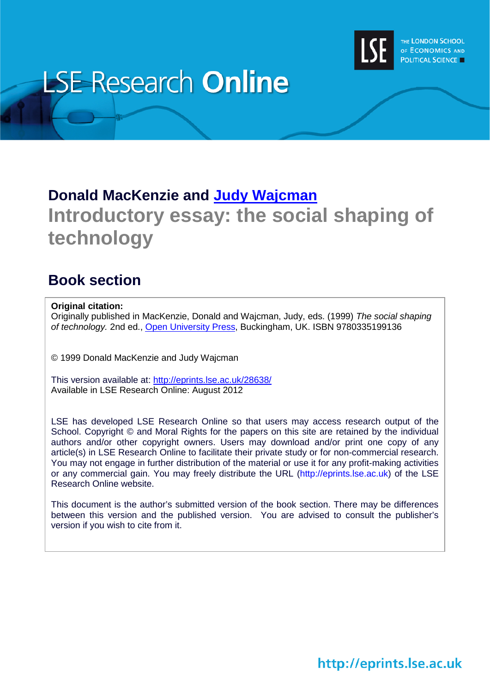

# **LSE Research Online**

# **Donald MacKenzie and [Judy Wajcman](http://www2.lse.ac.uk/researchAndExpertise/Experts/profile.aspx?KeyValue=j.wajcman@lse.ac.uk) Introductory essay: the social shaping of technology**

## **Book section**

#### **Original citation:**

Originally published in MacKenzie, Donald and Wajcman, Judy, eds. (1999) *The social shaping of technology.* 2nd ed., [Open University Press,](http://mcgraw-hill.co.uk/openup/) Buckingham, UK. ISBN 9780335199136

© 1999 Donald MacKenzie and Judy Wajcman

This version available at:<http://eprints.lse.ac.uk/28638/> Available in LSE Research Online: August 2012

LSE has developed LSE Research Online so that users may access research output of the School. Copyright © and Moral Rights for the papers on this site are retained by the individual authors and/or other copyright owners. Users may download and/or print one copy of any article(s) in LSE Research Online to facilitate their private study or for non-commercial research. You may not engage in further distribution of the material or use it for any profit-making activities or any commercial gain. You may freely distribute the URL (http://eprints.lse.ac.uk) of the LSE Research Online website.

This document is the author's submitted version of the book section. There may be differences between this version and the published version. You are advised to consult the publisher's version if you wish to cite from it.

# http://eprints.lse.ac.uk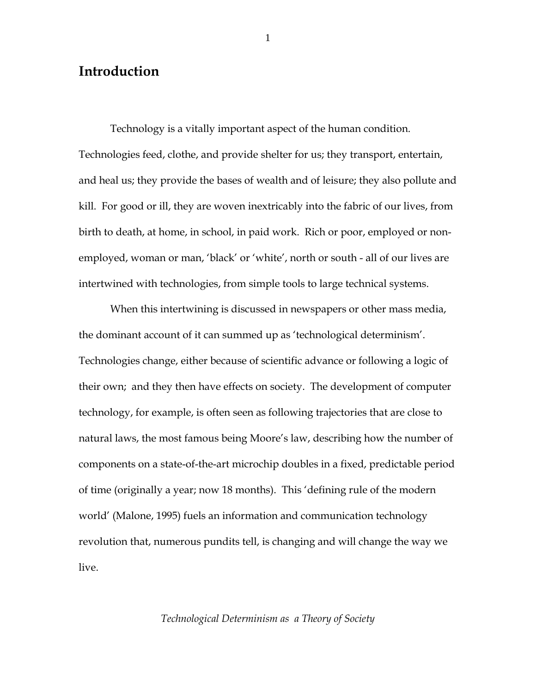### **Introduction**

Technology is a vitally important aspect of the human condition. Technologies feed, clothe, and provide shelter for us; they transport, entertain, and heal us; they provide the bases of wealth and of leisure; they also pollute and kill. For good or ill, they are woven inextricably into the fabric of our lives, from birth to death, at home, in school, in paid work. Rich or poor, employed or nonemployed, woman or man, 'black' or 'white', north or south - all of our lives are intertwined with technologies, from simple tools to large technical systems.

When this intertwining is discussed in newspapers or other mass media, the dominant account of it can summed up as 'technological determinism'. Technologies change, either because of scientific advance or following a logic of their own; and they then have effects on society. The development of computer technology, for example, is often seen as following trajectories that are close to natural laws, the most famous being Moore's law, describing how the number of components on a state-of-the-art microchip doubles in a fixed, predictable period of time (originally a year; now 18 months). This 'defining rule of the modern world' (Malone, 1995) fuels an information and communication technology revolution that, numerous pundits tell, is changing and will change the way we live.

#### *Technological Determinism as a Theory of Society*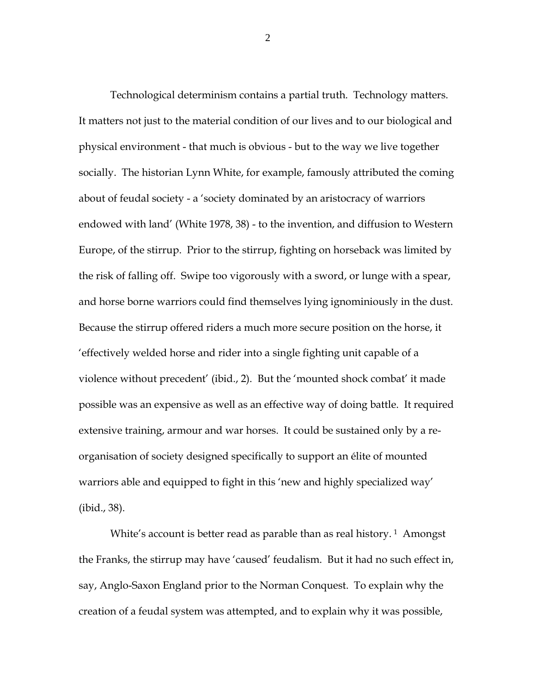Technological determinism contains a partial truth. Technology matters. It matters not just to the material condition of our lives and to our biological and physical environment - that much is obvious - but to the way we live together socially. The historian Lynn White, for example, famously attributed the coming about of feudal society - a 'society dominated by an aristocracy of warriors endowed with land' (White 1978, 38) - to the invention, and diffusion to Western Europe, of the stirrup. Prior to the stirrup, fighting on horseback was limited by the risk of falling off. Swipe too vigorously with a sword, or lunge with a spear, and horse borne warriors could find themselves lying ignominiously in the dust. Because the stirrup offered riders a much more secure position on the horse, it 'effectively welded horse and rider into a single fighting unit capable of a violence without precedent' (ibid., 2). But the 'mounted shock combat' it made possible was an expensive as well as an effective way of doing battle. It required extensive training, armour and war horses. It could be sustained only by a reorganisation of society designed specifically to support an élite of mounted warriors able and equipped to fight in this 'new and highly specialized way' (ibid., 38).

White's account is better read as parable than as real history.<sup>[1](#page-48-0)</sup> Amongst the Franks, the stirrup may have 'caused' feudalism. But it had no such effect in, say, Anglo-Saxon England prior to the Norman Conquest. To explain why the creation of a feudal system was attempted, and to explain why it was possible,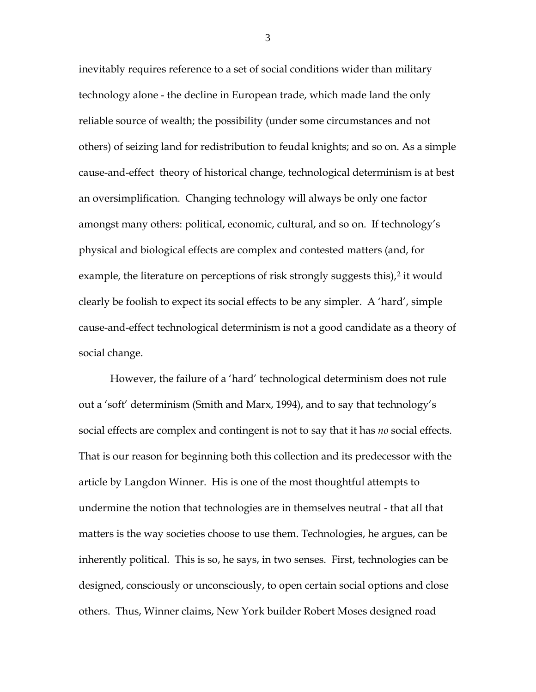inevitably requires reference to a set of social conditions wider than military technology alone - the decline in European trade, which made land the only reliable source of wealth; the possibility (under some circumstances and not others) of seizing land for redistribution to feudal knights; and so on. As a simple cause-and-effect theory of historical change, technological determinism is at best an oversimplification. Changing technology will always be only one factor amongst many others: political, economic, cultural, and so on. If technology's physical and biological effects are complex and contested matters (and, for example, the literature on perceptions of risk strongly suggests this),<sup>[2](#page-48-1)</sup> it would clearly be foolish to expect its social effects to be any simpler. A 'hard', simple cause-and-effect technological determinism is not a good candidate as a theory of social change.

However, the failure of a 'hard' technological determinism does not rule out a 'soft' determinism (Smith and Marx, 1994), and to say that technology's social effects are complex and contingent is not to say that it has *no* social effects. That is our reason for beginning both this collection and its predecessor with the article by Langdon Winner. His is one of the most thoughtful attempts to undermine the notion that technologies are in themselves neutral - that all that matters is the way societies choose to use them. Technologies, he argues, can be inherently political. This is so, he says, in two senses. First, technologies can be designed, consciously or unconsciously, to open certain social options and close others. Thus, Winner claims, New York builder Robert Moses designed road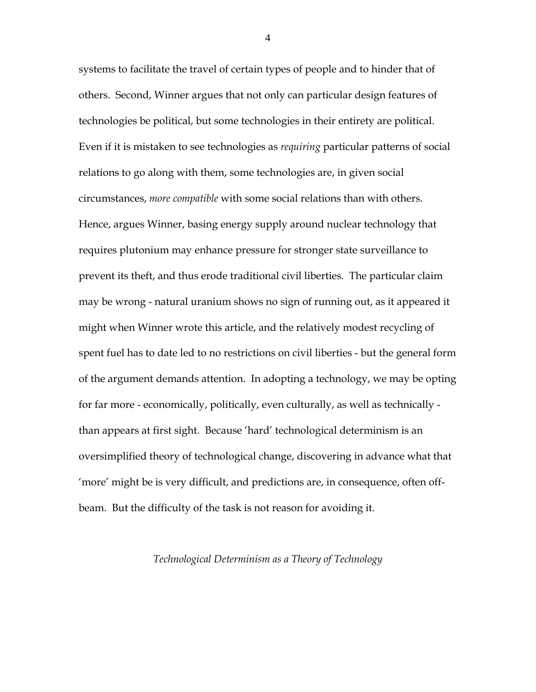systems to facilitate the travel of certain types of people and to hinder that of others. Second, Winner argues that not only can particular design features of technologies be political, but some technologies in their entirety are political. Even if it is mistaken to see technologies as *requiring* particular patterns of social relations to go along with them, some technologies are, in given social circumstances, *more compatible* with some social relations than with others. Hence, argues Winner, basing energy supply around nuclear technology that requires plutonium may enhance pressure for stronger state surveillance to prevent its theft, and thus erode traditional civil liberties. The particular claim may be wrong - natural uranium shows no sign of running out, as it appeared it might when Winner wrote this article, and the relatively modest recycling of spent fuel has to date led to no restrictions on civil liberties - but the general form of the argument demands attention. In adopting a technology, we may be opting for far more - economically, politically, even culturally, as well as technically than appears at first sight. Because 'hard' technological determinism is an oversimplified theory of technological change, discovering in advance what that 'more' might be is very difficult, and predictions are, in consequence, often offbeam. But the difficulty of the task is not reason for avoiding it.

#### *Technological Determinism as a Theory of Technology*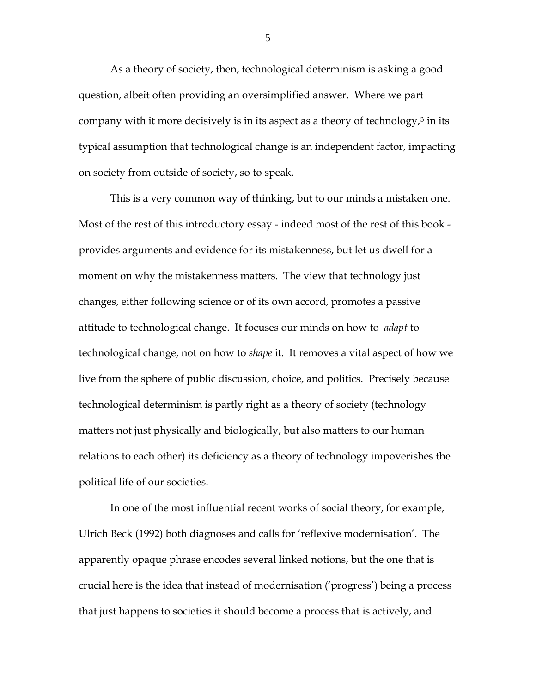As a theory of society, then, technological determinism is asking a good question, albeit often providing an oversimplified answer. Where we part company with it more decisively is in its aspect as a theory of technology, $3$  in its typical assumption that technological change is an independent factor, impacting on society from outside of society, so to speak.

This is a very common way of thinking, but to our minds a mistaken one. Most of the rest of this introductory essay - indeed most of the rest of this book provides arguments and evidence for its mistakenness, but let us dwell for a moment on why the mistakenness matters. The view that technology just changes, either following science or of its own accord, promotes a passive attitude to technological change. It focuses our minds on how to *adapt* to technological change, not on how to *shape* it. It removes a vital aspect of how we live from the sphere of public discussion, choice, and politics. Precisely because technological determinism is partly right as a theory of society (technology matters not just physically and biologically, but also matters to our human relations to each other) its deficiency as a theory of technology impoverishes the political life of our societies.

In one of the most influential recent works of social theory, for example, Ulrich Beck (1992) both diagnoses and calls for 'reflexive modernisation'. The apparently opaque phrase encodes several linked notions, but the one that is crucial here is the idea that instead of modernisation ('progress') being a process that just happens to societies it should become a process that is actively, and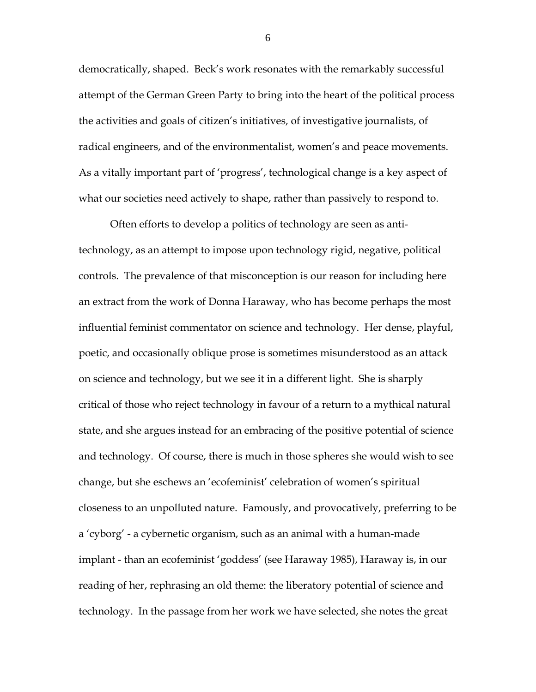democratically, shaped. Beck's work resonates with the remarkably successful attempt of the German Green Party to bring into the heart of the political process the activities and goals of citizen's initiatives, of investigative journalists, of radical engineers, and of the environmentalist, women's and peace movements. As a vitally important part of 'progress', technological change is a key aspect of what our societies need actively to shape, rather than passively to respond to.

Often efforts to develop a politics of technology are seen as antitechnology, as an attempt to impose upon technology rigid, negative, political controls. The prevalence of that misconception is our reason for including here an extract from the work of Donna Haraway, who has become perhaps the most influential feminist commentator on science and technology. Her dense, playful, poetic, and occasionally oblique prose is sometimes misunderstood as an attack on science and technology, but we see it in a different light. She is sharply critical of those who reject technology in favour of a return to a mythical natural state, and she argues instead for an embracing of the positive potential of science and technology. Of course, there is much in those spheres she would wish to see change, but she eschews an 'ecofeminist' celebration of women's spiritual closeness to an unpolluted nature. Famously, and provocatively, preferring to be a 'cyborg' - a cybernetic organism, such as an animal with a human-made implant - than an ecofeminist 'goddess' (see Haraway 1985), Haraway is, in our reading of her, rephrasing an old theme: the liberatory potential of science and technology. In the passage from her work we have selected, she notes the great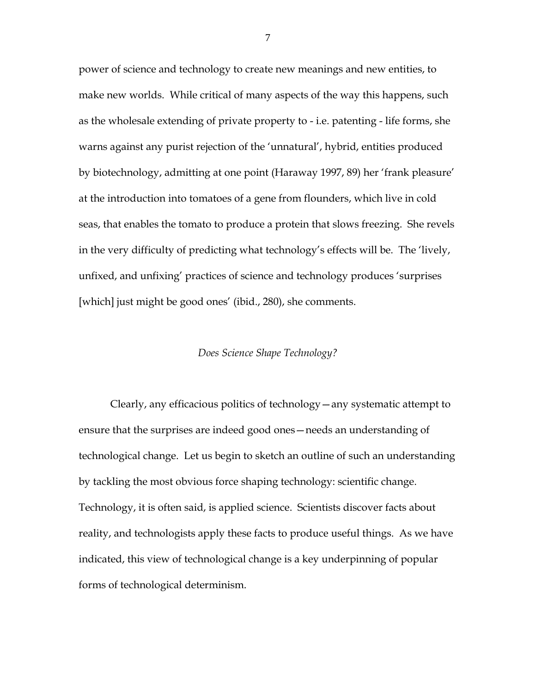power of science and technology to create new meanings and new entities, to make new worlds. While critical of many aspects of the way this happens, such as the wholesale extending of private property to - i.e. patenting - life forms, she warns against any purist rejection of the 'unnatural', hybrid, entities produced by biotechnology, admitting at one point (Haraway 1997, 89) her 'frank pleasure' at the introduction into tomatoes of a gene from flounders, which live in cold seas, that enables the tomato to produce a protein that slows freezing. She revels in the very difficulty of predicting what technology's effects will be. The 'lively, unfixed, and unfixing' practices of science and technology produces 'surprises [which] just might be good ones' (ibid., 280), she comments.

#### *Does Science Shape Technology?*

Clearly, any efficacious politics of technology—any systematic attempt to ensure that the surprises are indeed good ones—needs an understanding of technological change. Let us begin to sketch an outline of such an understanding by tackling the most obvious force shaping technology: scientific change. Technology, it is often said, is applied science. Scientists discover facts about reality, and technologists apply these facts to produce useful things. As we have indicated, this view of technological change is a key underpinning of popular forms of technological determinism.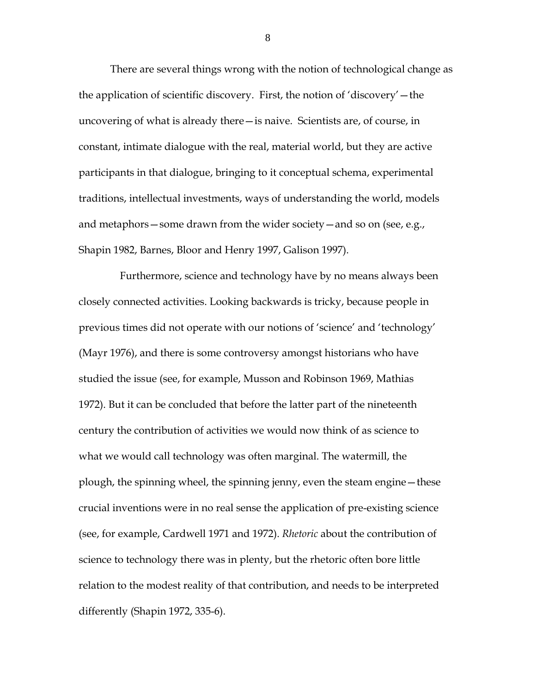There are several things wrong with the notion of technological change as the application of scientific discovery. First, the notion of 'discovery'—the uncovering of what is already there—is naive. Scientists are, of course, in constant, intimate dialogue with the real, material world, but they are active participants in that dialogue, bringing to it conceptual schema, experimental traditions, intellectual investments, ways of understanding the world, models and metaphors—some drawn from the wider society—and so on (see, e.g., Shapin 1982, Barnes, Bloor and Henry 1997, Galison 1997).

Furthermore, science and technology have by no means always been closely connected activities. Looking backwards is tricky, because people in previous times did not operate with our notions of 'science' and 'technology' (Mayr 1976), and there is some controversy amongst historians who have studied the issue (see, for example, Musson and Robinson 1969, Mathias 1972). But it can be concluded that before the latter part of the nineteenth century the contribution of activities we would now think of as science to what we would call technology was often marginal. The watermill, the plough, the spinning wheel, the spinning jenny, even the steam engine—these crucial inventions were in no real sense the application of pre-existing science (see, for example, Cardwell 1971 and 1972). *Rhetoric* about the contribution of science to technology there was in plenty, but the rhetoric often bore little relation to the modest reality of that contribution, and needs to be interpreted differently (Shapin 1972, 335-6).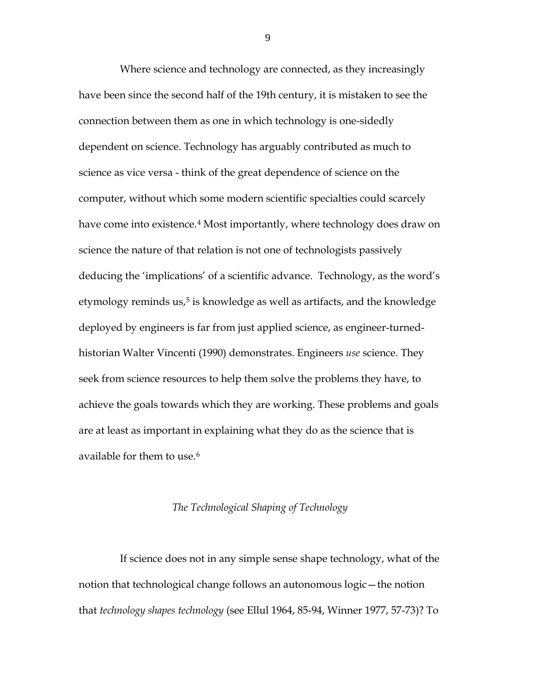Where science and technology are connected, as they increasingly have been since the second half of the 19th century, it is mistaken to see the connection between them as one in which technology is one-sidedly dependent on science. Technology has arguably contributed as much to science as vice versa - think of the great dependence of science on the computer, without which some modern scientific specialties could scarcely have come into existence.<sup>4</sup> Most importantly, where technology does draw on science the nature of that relation is not one of technologists passively deducing the 'implications' of a scientific advance. Technology, as the word's etymology reminds us,<sup>[5](#page-48-4)</sup> is knowledge as well as artifacts, and the knowledge deployed by engineers is far from just applied science, as engineer-turnedhistorian Walter Vincenti (1990) demonstrates. Engineers *use* science. They seek from science resources to help them solve the problems they have, to achieve the goals towards which they are working. These problems and goals are at least as important in explaining what they do as the science that is available for them to use.<sup>[6](#page-48-5)</sup>

#### *The Technological Shaping of Technology*

If science does not in any simple sense shape technology, what of the notion that technological change follows an autonomous logic—the notion that *technology shapes technology* (see Ellul 1964, 85-94, Winner 1977, 57-73)? To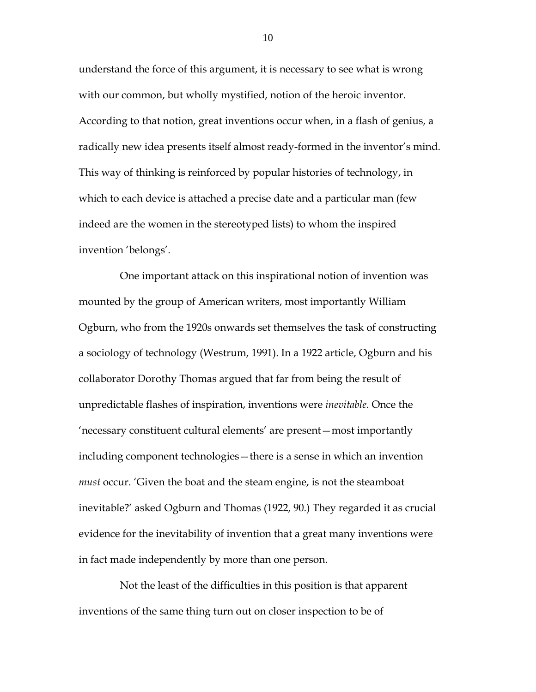understand the force of this argument, it is necessary to see what is wrong with our common, but wholly mystified, notion of the heroic inventor. According to that notion, great inventions occur when, in a flash of genius, a radically new idea presents itself almost ready-formed in the inventor's mind. This way of thinking is reinforced by popular histories of technology, in which to each device is attached a precise date and a particular man (few indeed are the women in the stereotyped lists) to whom the inspired invention 'belongs'.

One important attack on this inspirational notion of invention was mounted by the group of American writers, most importantly William Ogburn, who from the 1920s onwards set themselves the task of constructing a sociology of technology (Westrum, 1991). In a 1922 article, Ogburn and his collaborator Dorothy Thomas argued that far from being the result of unpredictable flashes of inspiration, inventions were *inevitable*. Once the 'necessary constituent cultural elements' are present—most importantly including component technologies—there is a sense in which an invention *must* occur. 'Given the boat and the steam engine, is not the steamboat inevitable?' asked Ogburn and Thomas (1922, 90.) They regarded it as crucial evidence for the inevitability of invention that a great many inventions were in fact made independently by more than one person.

Not the least of the difficulties in this position is that apparent inventions of the same thing turn out on closer inspection to be of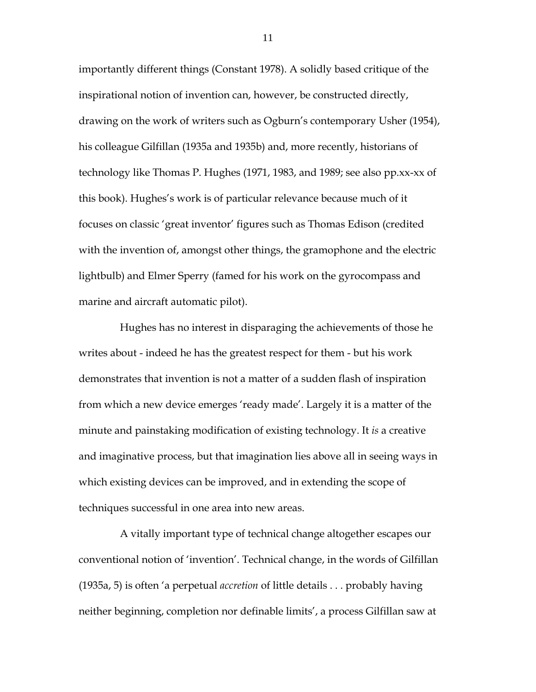importantly different things (Constant 1978). A solidly based critique of the inspirational notion of invention can, however, be constructed directly, drawing on the work of writers such as Ogburn's contemporary Usher (1954), his colleague Gilfillan (1935a and 1935b) and, more recently, historians of technology like Thomas P. Hughes (1971, 1983, and 1989; see also pp.xx-xx of this book). Hughes's work is of particular relevance because much of it focuses on classic 'great inventor' figures such as Thomas Edison (credited with the invention of, amongst other things, the gramophone and the electric lightbulb) and Elmer Sperry (famed for his work on the gyrocompass and marine and aircraft automatic pilot).

Hughes has no interest in disparaging the achievements of those he writes about - indeed he has the greatest respect for them - but his work demonstrates that invention is not a matter of a sudden flash of inspiration from which a new device emerges 'ready made'. Largely it is a matter of the minute and painstaking modification of existing technology. It *is* a creative and imaginative process, but that imagination lies above all in seeing ways in which existing devices can be improved, and in extending the scope of techniques successful in one area into new areas.

A vitally important type of technical change altogether escapes our conventional notion of 'invention'. Technical change, in the words of Gilfillan (1935a, 5) is often 'a perpetual *accretion* of little details . . . probably having neither beginning, completion nor definable limits', a process Gilfillan saw at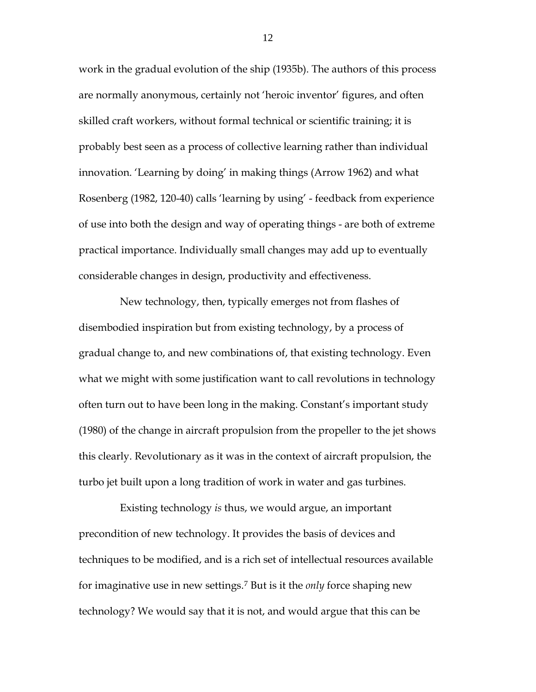work in the gradual evolution of the ship (1935b). The authors of this process are normally anonymous, certainly not 'heroic inventor' figures, and often skilled craft workers, without formal technical or scientific training; it is probably best seen as a process of collective learning rather than individual innovation. 'Learning by doing' in making things (Arrow 1962) and what Rosenberg (1982, 120-40) calls 'learning by using' - feedback from experience of use into both the design and way of operating things - are both of extreme practical importance. Individually small changes may add up to eventually considerable changes in design, productivity and effectiveness.

New technology, then, typically emerges not from flashes of disembodied inspiration but from existing technology, by a process of gradual change to, and new combinations of, that existing technology. Even what we might with some justification want to call revolutions in technology often turn out to have been long in the making. Constant's important study (1980) of the change in aircraft propulsion from the propeller to the jet shows this clearly. Revolutionary as it was in the context of aircraft propulsion, the turbo jet built upon a long tradition of work in water and gas turbines.

Existing technology *is* thus, we would argue, an important precondition of new technology. It provides the basis of devices and techniques to be modified, and is a rich set of intellectual resources available for imaginative use in new settings.[7](#page-48-6) But is it the *only* force shaping new technology? We would say that it is not, and would argue that this can be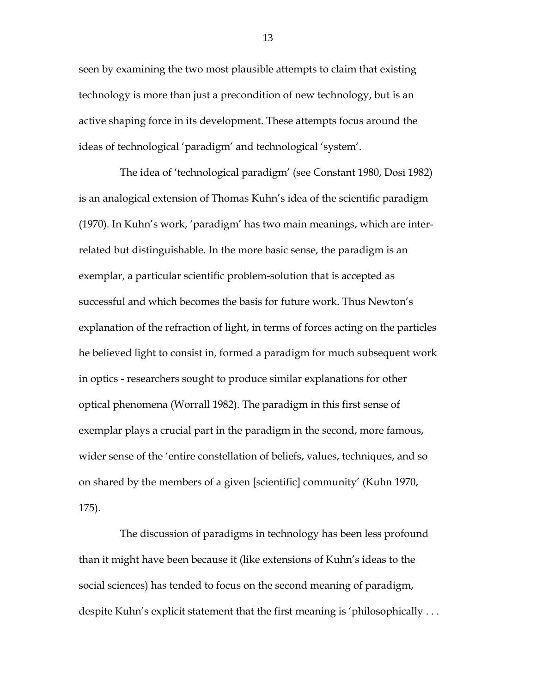seen by examining the two most plausible attempts to claim that existing technology is more than just a precondition of new technology, but is an active shaping force in its development. These attempts focus around the ideas of technological 'paradigm' and technological 'system'.

The idea of 'technological paradigm' (see Constant 1980, Dosi 1982) is an analogical extension of Thomas Kuhn's idea of the scientific paradigm (1970). In Kuhn's work, 'paradigm' has two main meanings, which are interrelated but distinguishable. In the more basic sense, the paradigm is an exemplar, a particular scientific problem-solution that is accepted as successful and which becomes the basis for future work. Thus Newton's explanation of the refraction of light, in terms of forces acting on the particles he believed light to consist in, formed a paradigm for much subsequent work in optics - researchers sought to produce similar explanations for other optical phenomena (Worrall 1982). The paradigm in this first sense of exemplar plays a crucial part in the paradigm in the second, more famous, wider sense of the 'entire constellation of beliefs, values, techniques, and so on shared by the members of a given [scientific] community' (Kuhn 1970, 175).

The discussion of paradigms in technology has been less profound than it might have been because it (like extensions of Kuhn's ideas to the social sciences) has tended to focus on the second meaning of paradigm, despite Kuhn's explicit statement that the first meaning is 'philosophically . . .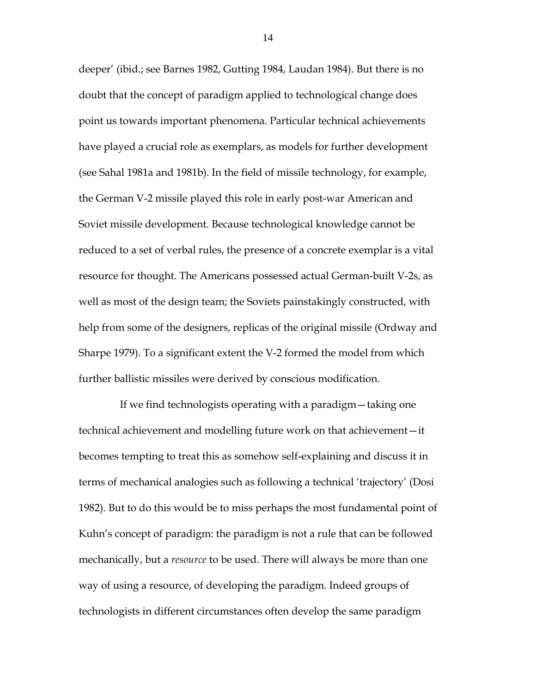deeper' (ibid.; see Barnes 1982, Gutting 1984, Laudan 1984). But there is no doubt that the concept of paradigm applied to technological change does point us towards important phenomena. Particular technical achievements have played a crucial role as exemplars, as models for further development (see Sahal 1981a and 1981b). In the field of missile technology, for example, the German V-2 missile played this role in early post-war American and Soviet missile development. Because technological knowledge cannot be reduced to a set of verbal rules, the presence of a concrete exemplar is a vital resource for thought. The Americans possessed actual German-built V-2s, as well as most of the design team; the Soviets painstakingly constructed, with help from some of the designers, replicas of the original missile (Ordway and Sharpe 1979). To a significant extent the V-2 formed the model from which further ballistic missiles were derived by conscious modification.

If we find technologists operating with a paradigm—taking one technical achievement and modelling future work on that achievement—it becomes tempting to treat this as somehow self-explaining and discuss it in terms of mechanical analogies such as following a technical 'trajectory' (Dosi 1982). But to do this would be to miss perhaps the most fundamental point of Kuhn's concept of paradigm: the paradigm is not a rule that can be followed mechanically, but a *resource* to be used. There will always be more than one way of using a resource, of developing the paradigm. Indeed groups of technologists in different circumstances often develop the same paradigm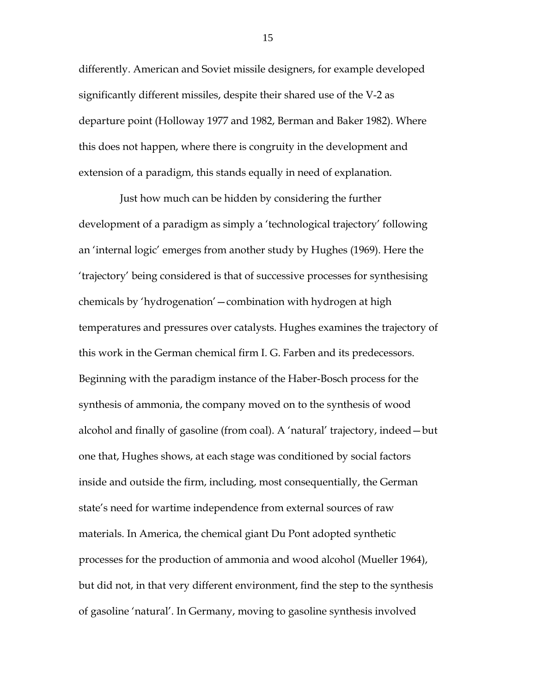differently. American and Soviet missile designers, for example developed significantly different missiles, despite their shared use of the V-2 as departure point (Holloway 1977 and 1982, Berman and Baker 1982). Where this does not happen, where there is congruity in the development and extension of a paradigm, this stands equally in need of explanation.

Just how much can be hidden by considering the further development of a paradigm as simply a 'technological trajectory' following an 'internal logic' emerges from another study by Hughes (1969). Here the 'trajectory' being considered is that of successive processes for synthesising chemicals by 'hydrogenation'—combination with hydrogen at high temperatures and pressures over catalysts. Hughes examines the trajectory of this work in the German chemical firm I. G. Farben and its predecessors. Beginning with the paradigm instance of the Haber-Bosch process for the synthesis of ammonia, the company moved on to the synthesis of wood alcohol and finally of gasoline (from coal). A 'natural' trajectory, indeed—but one that, Hughes shows, at each stage was conditioned by social factors inside and outside the firm, including, most consequentially, the German state's need for wartime independence from external sources of raw materials. In America, the chemical giant Du Pont adopted synthetic processes for the production of ammonia and wood alcohol (Mueller 1964), but did not, in that very different environment, find the step to the synthesis of gasoline 'natural'. In Germany, moving to gasoline synthesis involved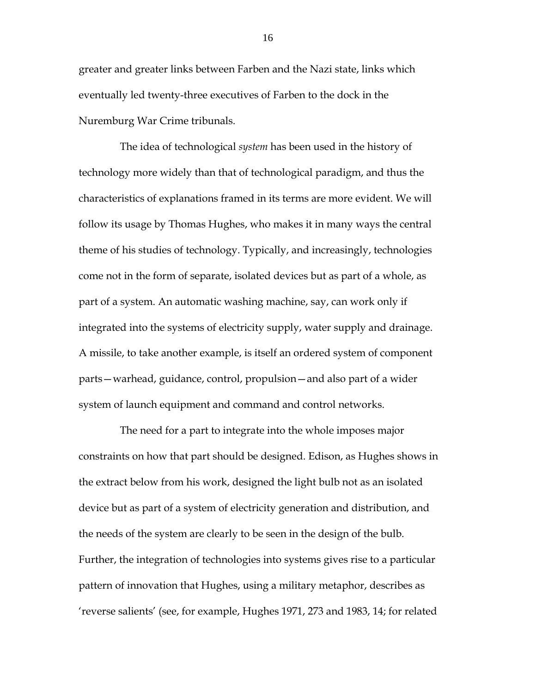greater and greater links between Farben and the Nazi state, links which eventually led twenty-three executives of Farben to the dock in the Nuremburg War Crime tribunals.

The idea of technological *system* has been used in the history of technology more widely than that of technological paradigm, and thus the characteristics of explanations framed in its terms are more evident. We will follow its usage by Thomas Hughes, who makes it in many ways the central theme of his studies of technology. Typically, and increasingly, technologies come not in the form of separate, isolated devices but as part of a whole, as part of a system. An automatic washing machine, say, can work only if integrated into the systems of electricity supply, water supply and drainage. A missile, to take another example, is itself an ordered system of component parts—warhead, guidance, control, propulsion—and also part of a wider system of launch equipment and command and control networks.

The need for a part to integrate into the whole imposes major constraints on how that part should be designed. Edison, as Hughes shows in the extract below from his work, designed the light bulb not as an isolated device but as part of a system of electricity generation and distribution, and the needs of the system are clearly to be seen in the design of the bulb. Further, the integration of technologies into systems gives rise to a particular pattern of innovation that Hughes, using a military metaphor, describes as 'reverse salients' (see, for example, Hughes 1971, 273 and 1983, 14; for related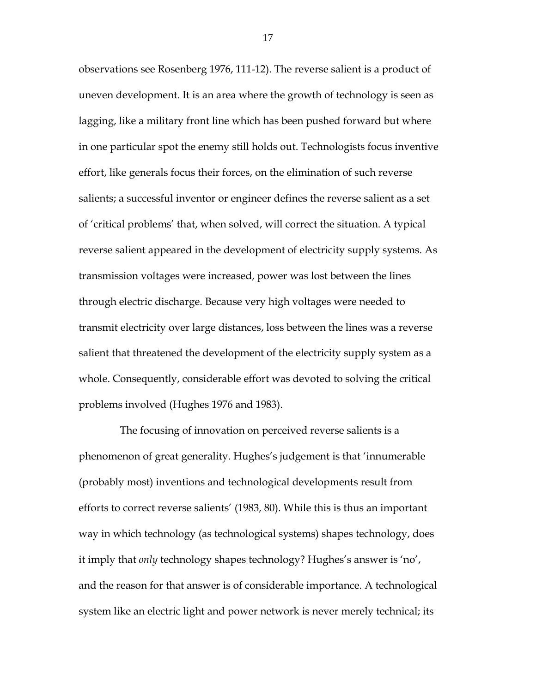observations see Rosenberg 1976, 111-12). The reverse salient is a product of uneven development. It is an area where the growth of technology is seen as lagging, like a military front line which has been pushed forward but where in one particular spot the enemy still holds out. Technologists focus inventive effort, like generals focus their forces, on the elimination of such reverse salients; a successful inventor or engineer defines the reverse salient as a set of 'critical problems' that, when solved, will correct the situation. A typical reverse salient appeared in the development of electricity supply systems. As transmission voltages were increased, power was lost between the lines through electric discharge. Because very high voltages were needed to transmit electricity over large distances, loss between the lines was a reverse salient that threatened the development of the electricity supply system as a whole. Consequently, considerable effort was devoted to solving the critical problems involved (Hughes 1976 and 1983).

The focusing of innovation on perceived reverse salients is a phenomenon of great generality. Hughes's judgement is that 'innumerable (probably most) inventions and technological developments result from efforts to correct reverse salients' (1983, 80). While this is thus an important way in which technology (as technological systems) shapes technology, does it imply that *only* technology shapes technology? Hughes's answer is 'no', and the reason for that answer is of considerable importance. A technological system like an electric light and power network is never merely technical; its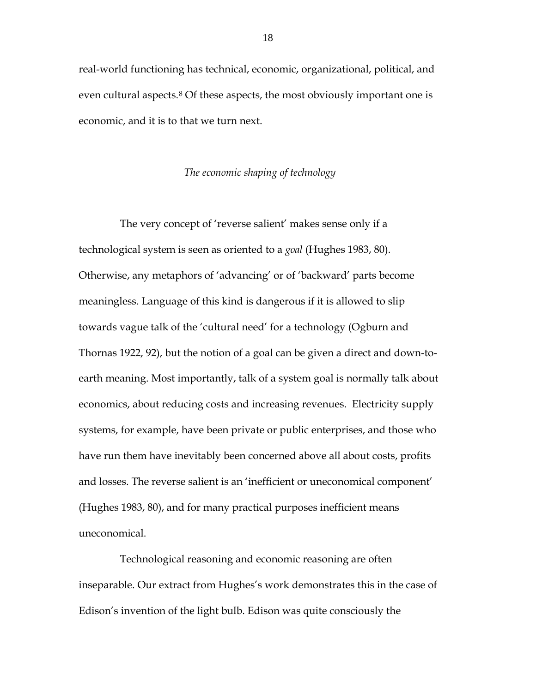real-world functioning has technical, economic, organizational, political, and even cultural aspects.<sup>[8](#page-48-7)</sup> Of these aspects, the most obviously important one is economic, and it is to that we turn next.

#### *The economic shaping of technology*

The very concept of 'reverse salient' makes sense only if a technological system is seen as oriented to a *goal* (Hughes 1983, 80). Otherwise, any metaphors of 'advancing' or of 'backward' parts become meaningless. Language of this kind is dangerous if it is allowed to slip towards vague talk of the 'cultural need' for a technology (Ogburn and Thornas 1922, 92), but the notion of a goal can be given a direct and down-toearth meaning. Most importantly, talk of a system goal is normally talk about economics, about reducing costs and increasing revenues. Electricity supply systems, for example, have been private or public enterprises, and those who have run them have inevitably been concerned above all about costs, profits and losses. The reverse salient is an 'inefficient or uneconomical component' (Hughes 1983, 80), and for many practical purposes inefficient means uneconomical.

Technological reasoning and economic reasoning are often inseparable. Our extract from Hughes's work demonstrates this in the case of Edison's invention of the light bulb. Edison was quite consciously the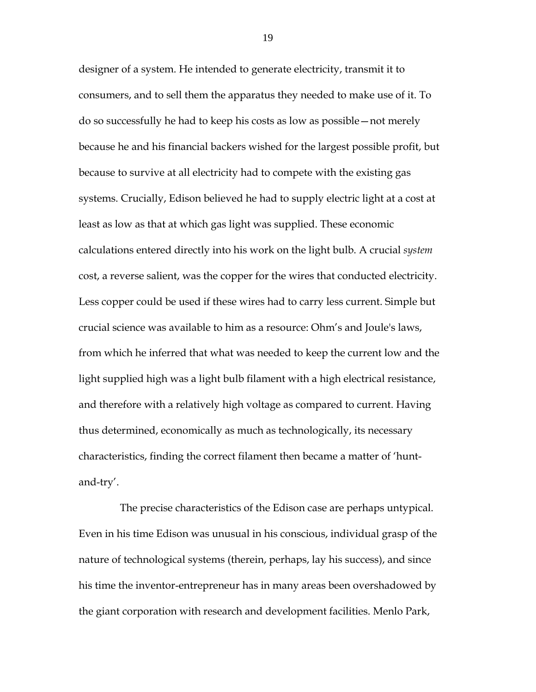designer of a system. He intended to generate electricity, transmit it to consumers, and to sell them the apparatus they needed to make use of it. To do so successfully he had to keep his costs as low as possible—not merely because he and his financial backers wished for the largest possible profit, but because to survive at all electricity had to compete with the existing gas systems. Crucially, Edison believed he had to supply electric light at a cost at least as low as that at which gas light was supplied. These economic calculations entered directly into his work on the light bulb. A crucial *system* cost, a reverse salient, was the copper for the wires that conducted electricity. Less copper could be used if these wires had to carry less current. Simple but crucial science was available to him as a resource: Ohm's and Joule's laws, from which he inferred that what was needed to keep the current low and the light supplied high was a light bulb filament with a high electrical resistance, and therefore with a relatively high voltage as compared to current. Having thus determined, economically as much as technologically, its necessary characteristics, finding the correct filament then became a matter of 'huntand-try'.

The precise characteristics of the Edison case are perhaps untypical. Even in his time Edison was unusual in his conscious, individual grasp of the nature of technological systems (therein, perhaps, lay his success), and since his time the inventor-entrepreneur has in many areas been overshadowed by the giant corporation with research and development facilities. Menlo Park,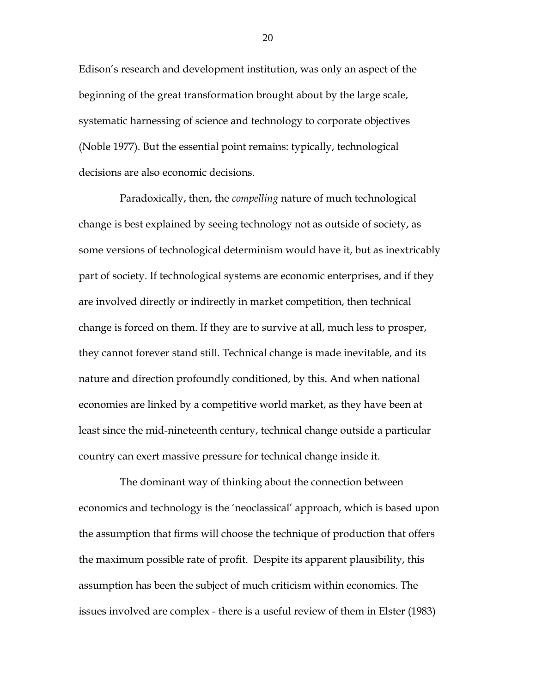Edison's research and development institution, was only an aspect of the beginning of the great transformation brought about by the large scale, systematic harnessing of science and technology to corporate objectives (Noble 1977). But the essential point remains: typically, technological decisions are also economic decisions.

Paradoxically, then, the *compelling* nature of much technological change is best explained by seeing technology not as outside of society, as some versions of technological determinism would have it, but as inextricably part of society. If technological systems are economic enterprises, and if they are involved directly or indirectly in market competition, then technical change is forced on them. If they are to survive at all, much less to prosper, they cannot forever stand still. Technical change is made inevitable, and its nature and direction profoundly conditioned, by this. And when national economies are linked by a competitive world market, as they have been at least since the mid-nineteenth century, technical change outside a particular country can exert massive pressure for technical change inside it.

The dominant way of thinking about the connection between economics and technology is the 'neoclassical' approach, which is based upon the assumption that firms will choose the technique of production that offers the maximum possible rate of profit. Despite its apparent plausibility, this assumption has been the subject of much criticism within economics. The issues involved are complex - there is a useful review of them in Elster (1983)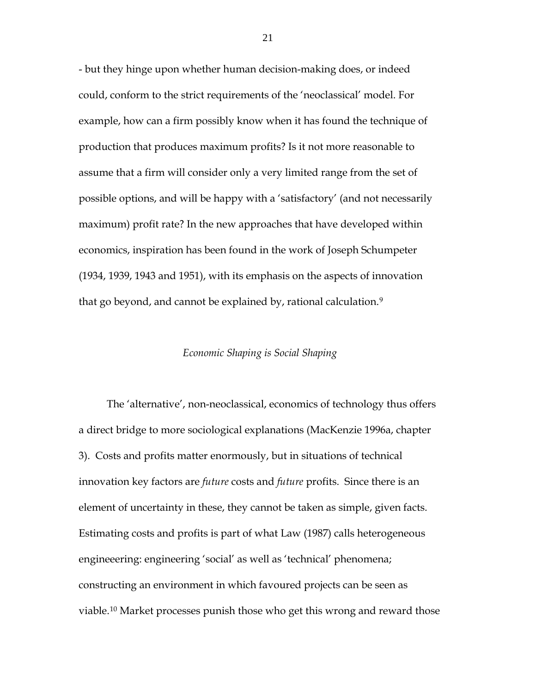- but they hinge upon whether human decision-making does, or indeed could, conform to the strict requirements of the 'neoclassical' model. For example, how can a firm possibly know when it has found the technique of production that produces maximum profits? Is it not more reasonable to assume that a firm will consider only a very limited range from the set of possible options, and will be happy with a 'satisfactory' (and not necessarily maximum) profit rate? In the new approaches that have developed within economics, inspiration has been found in the work of Joseph Schumpeter (1934, 1939, 1943 and 1951), with its emphasis on the aspects of innovation that go beyond, and cannot be explained by, rational calculation.<sup>[9](#page-48-8)</sup>

#### *Economic Shaping is Social Shaping*

The 'alternative', non-neoclassical, economics of technology thus offers a direct bridge to more sociological explanations (MacKenzie 1996a, chapter 3). Costs and profits matter enormously, but in situations of technical innovation key factors are *future* costs and *future* profits. Since there is an element of uncertainty in these, they cannot be taken as simple, given facts. Estimating costs and profits is part of what Law (1987) calls heterogeneous engineeering: engineering 'social' as well as 'technical' phenomena; constructing an environment in which favoured projects can be seen as viable.[10](#page-49-0) Market processes punish those who get this wrong and reward those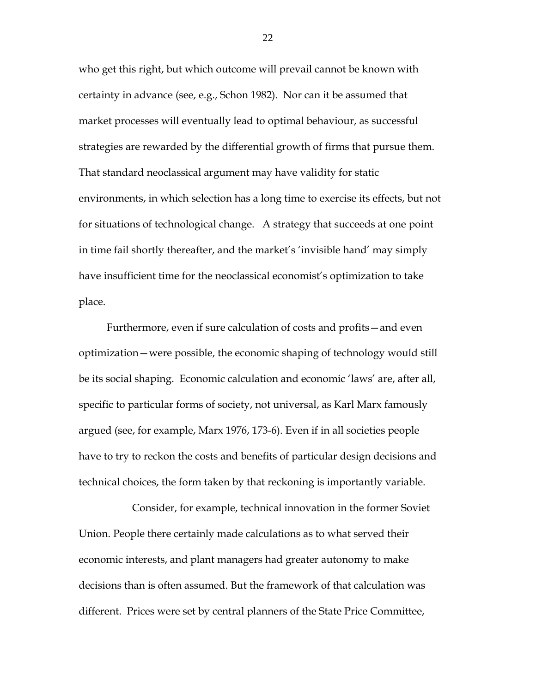who get this right, but which outcome will prevail cannot be known with certainty in advance (see, e.g., Schon 1982). Nor can it be assumed that market processes will eventually lead to optimal behaviour, as successful strategies are rewarded by the differential growth of firms that pursue them. That standard neoclassical argument may have validity for static environments, in which selection has a long time to exercise its effects, but not for situations of technological change. A strategy that succeeds at one point in time fail shortly thereafter, and the market's 'invisible hand' may simply have insufficient time for the neoclassical economist's optimization to take place.

Furthermore, even if sure calculation of costs and profits—and even optimization—were possible, the economic shaping of technology would still be its social shaping. Economic calculation and economic 'laws' are, after all, specific to particular forms of society, not universal, as Karl Marx famously argued (see, for example, Marx 1976, 173-6). Even if in all societies people have to try to reckon the costs and benefits of particular design decisions and technical choices, the form taken by that reckoning is importantly variable.

Consider, for example, technical innovation in the former Soviet Union. People there certainly made calculations as to what served their economic interests, and plant managers had greater autonomy to make decisions than is often assumed. But the framework of that calculation was different. Prices were set by central planners of the State Price Committee,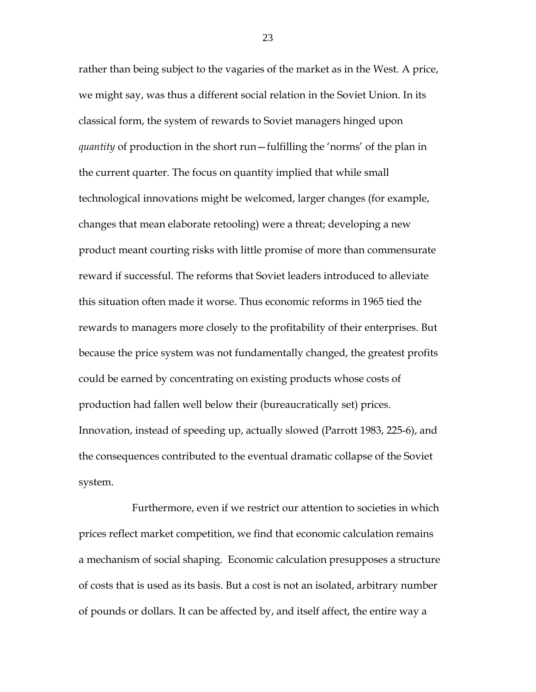rather than being subject to the vagaries of the market as in the West. A price, we might say, was thus a different social relation in the Soviet Union. In its classical form, the system of rewards to Soviet managers hinged upon *quantity* of production in the short run—fulfilling the 'norms' of the plan in the current quarter. The focus on quantity implied that while small technological innovations might be welcomed, larger changes (for example, changes that mean elaborate retooling) were a threat; developing a new product meant courting risks with little promise of more than commensurate reward if successful. The reforms that Soviet leaders introduced to alleviate this situation often made it worse. Thus economic reforms in 1965 tied the rewards to managers more closely to the profitability of their enterprises. But because the price system was not fundamentally changed, the greatest profits could be earned by concentrating on existing products whose costs of production had fallen well below their (bureaucratically set) prices. Innovation, instead of speeding up, actually slowed (Parrott 1983, 225-6), and the consequences contributed to the eventual dramatic collapse of the Soviet system.

Furthermore, even if we restrict our attention to societies in which prices reflect market competition, we find that economic calculation remains a mechanism of social shaping. Economic calculation presupposes a structure of costs that is used as its basis. But a cost is not an isolated, arbitrary number of pounds or dollars. It can be affected by, and itself affect, the entire way a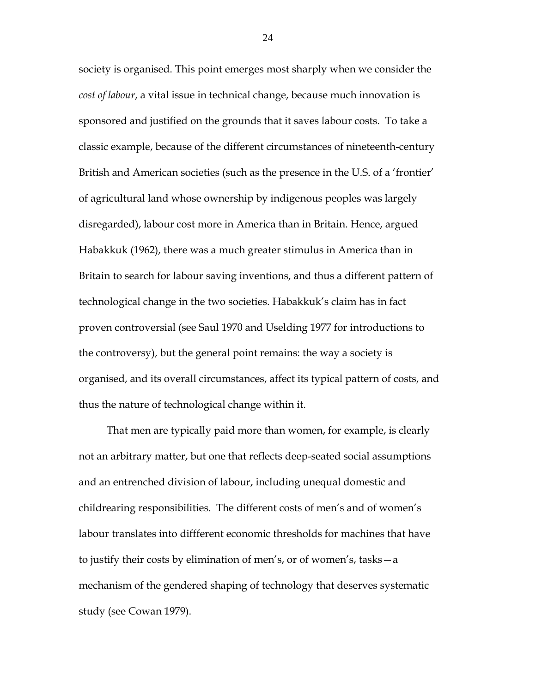society is organised. This point emerges most sharply when we consider the *cost of labour*, a vital issue in technical change, because much innovation is sponsored and justified on the grounds that it saves labour costs. To take a classic example, because of the different circumstances of nineteenth-century British and American societies (such as the presence in the U.S. of a 'frontier' of agricultural land whose ownership by indigenous peoples was largely disregarded), labour cost more in America than in Britain. Hence, argued Habakkuk (1962), there was a much greater stimulus in America than in Britain to search for labour saving inventions, and thus a different pattern of technological change in the two societies. Habakkuk's claim has in fact proven controversial (see Saul 1970 and Uselding 1977 for introductions to the controversy), but the general point remains: the way a society is organised, and its overall circumstances, affect its typical pattern of costs, and thus the nature of technological change within it.

That men are typically paid more than women, for example, is clearly not an arbitrary matter, but one that reflects deep-seated social assumptions and an entrenched division of labour, including unequal domestic and childrearing responsibilities. The different costs of men's and of women's labour translates into diffferent economic thresholds for machines that have to justify their costs by elimination of men's, or of women's, tasks—a mechanism of the gendered shaping of technology that deserves systematic study (see Cowan 1979).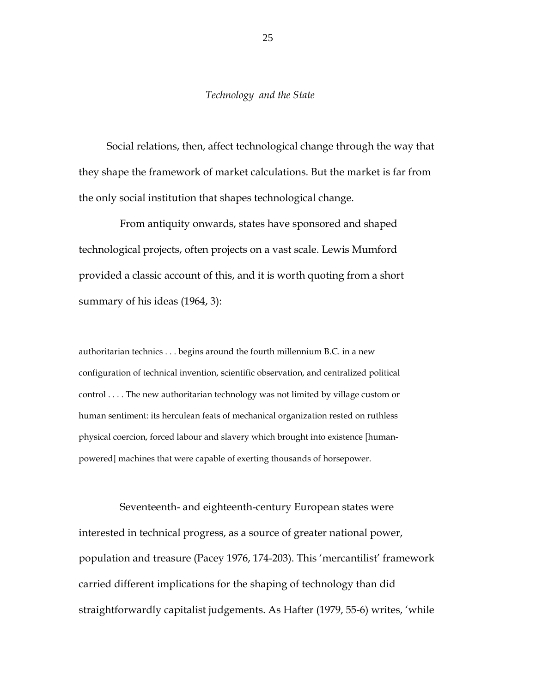#### *Technology and the State*

Social relations, then, affect technological change through the way that they shape the framework of market calculations. But the market is far from the only social institution that shapes technological change.

From antiquity onwards, states have sponsored and shaped technological projects, often projects on a vast scale. Lewis Mumford provided a classic account of this, and it is worth quoting from a short summary of his ideas (1964, 3):

authoritarian technics . . . begins around the fourth millennium B.C. in a new configuration of technical invention, scientific observation, and centralized political control . . . . The new authoritarian technology was not limited by village custom or human sentiment: its herculean feats of mechanical organization rested on ruthless physical coercion, forced labour and slavery which brought into existence [humanpowered] machines that were capable of exerting thousands of horsepower.

Seventeenth- and eighteenth-century European states were interested in technical progress, as a source of greater national power, population and treasure (Pacey 1976, 174-203). This 'mercantilist' framework carried different implications for the shaping of technology than did straightforwardly capitalist judgements. As Hafter (1979, 55-6) writes, 'while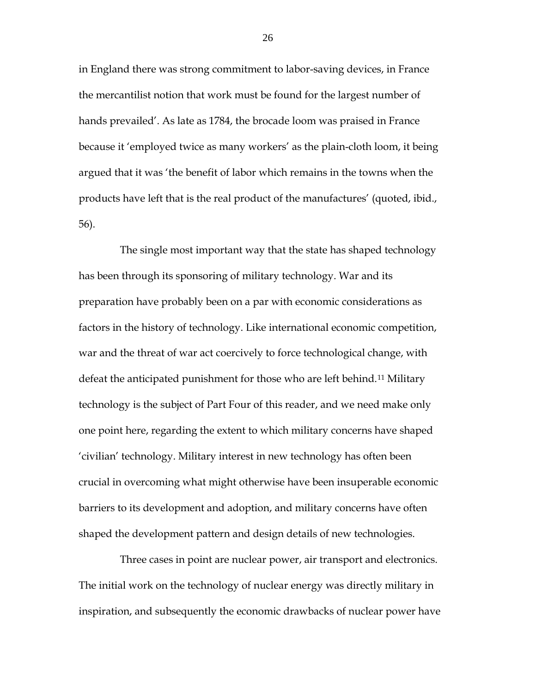in England there was strong commitment to labor-saving devices, in France the mercantilist notion that work must be found for the largest number of hands prevailed'. As late as 1784, the brocade loom was praised in France because it 'employed twice as many workers' as the plain-cloth loom, it being argued that it was 'the benefit of labor which remains in the towns when the products have left that is the real product of the manufactures' (quoted, ibid., 56).

The single most important way that the state has shaped technology has been through its sponsoring of military technology. War and its preparation have probably been on a par with economic considerations as factors in the history of technology. Like international economic competition, war and the threat of war act coercively to force technological change, with defeat the anticipated punishment for those who are left behind.<sup>[11](#page-49-1)</sup> Military technology is the subject of Part Four of this reader, and we need make only one point here, regarding the extent to which military concerns have shaped 'civilian' technology. Military interest in new technology has often been crucial in overcoming what might otherwise have been insuperable economic barriers to its development and adoption, and military concerns have often shaped the development pattern and design details of new technologies.

Three cases in point are nuclear power, air transport and electronics. The initial work on the technology of nuclear energy was directly military in inspiration, and subsequently the economic drawbacks of nuclear power have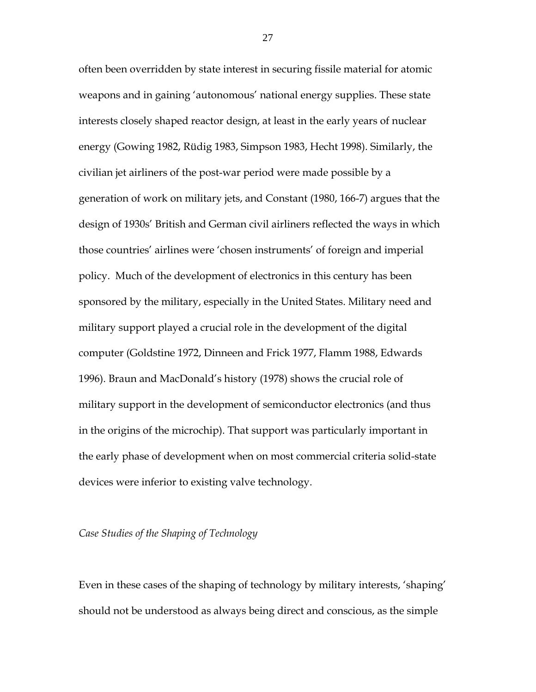often been overridden by state interest in securing fissile material for atomic weapons and in gaining 'autonomous' national energy supplies. These state interests closely shaped reactor design, at least in the early years of nuclear energy (Gowing 1982, Rüdig 1983, Simpson 1983, Hecht 1998). Similarly, the civilian jet airliners of the post-war period were made possible by a generation of work on military jets, and Constant (1980, 166-7) argues that the design of 1930s' British and German civil airliners reflected the ways in which those countries' airlines were 'chosen instruments' of foreign and imperial policy. Much of the development of electronics in this century has been sponsored by the military, especially in the United States. Military need and military support played a crucial role in the development of the digital computer (Goldstine 1972, Dinneen and Frick 1977, Flamm 1988, Edwards 1996). Braun and MacDonald's history (1978) shows the crucial role of military support in the development of semiconductor electronics (and thus in the origins of the microchip). That support was particularly important in the early phase of development when on most commercial criteria solid-state devices were inferior to existing valve technology.

#### *Case Studies of the Shaping of Technology*

Even in these cases of the shaping of technology by military interests, 'shaping' should not be understood as always being direct and conscious, as the simple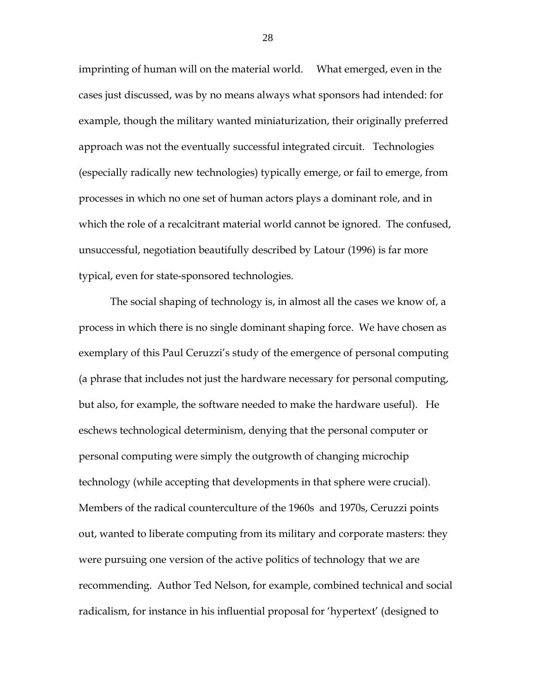imprinting of human will on the material world. What emerged, even in the cases just discussed, was by no means always what sponsors had intended: for example, though the military wanted miniaturization, their originally preferred approach was not the eventually successful integrated circuit. Technologies (especially radically new technologies) typically emerge, or fail to emerge, from processes in which no one set of human actors plays a dominant role, and in which the role of a recalcitrant material world cannot be ignored. The confused, unsuccessful, negotiation beautifully described by Latour (1996) is far more typical, even for state-sponsored technologies.

The social shaping of technology is, in almost all the cases we know of, a process in which there is no single dominant shaping force. We have chosen as exemplary of this Paul Ceruzzi's study of the emergence of personal computing (a phrase that includes not just the hardware necessary for personal computing, but also, for example, the software needed to make the hardware useful). He eschews technological determinism, denying that the personal computer or personal computing were simply the outgrowth of changing microchip technology (while accepting that developments in that sphere were crucial). Members of the radical counterculture of the 1960s and 1970s, Ceruzzi points out, wanted to liberate computing from its military and corporate masters: they were pursuing one version of the active politics of technology that we are recommending. Author Ted Nelson, for example, combined technical and social radicalism, for instance in his influential proposal for 'hypertext' (designed to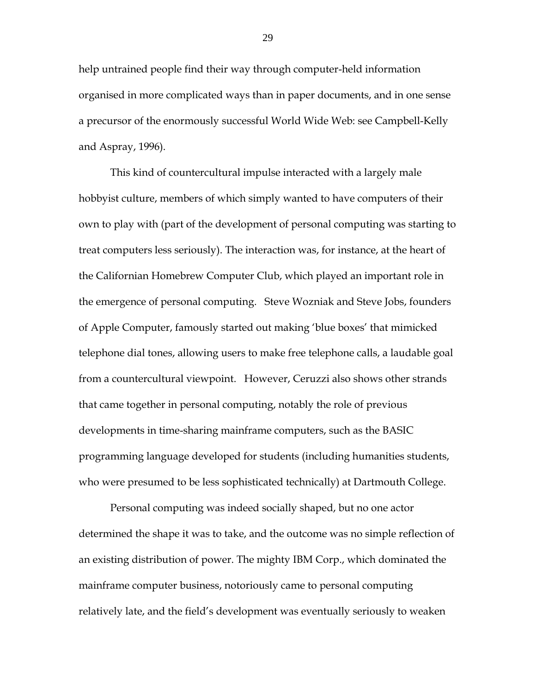help untrained people find their way through computer-held information organised in more complicated ways than in paper documents, and in one sense a precursor of the enormously successful World Wide Web: see Campbell-Kelly and Aspray, 1996).

This kind of countercultural impulse interacted with a largely male hobbyist culture, members of which simply wanted to have computers of their own to play with (part of the development of personal computing was starting to treat computers less seriously). The interaction was, for instance, at the heart of the Californian Homebrew Computer Club, which played an important role in the emergence of personal computing. Steve Wozniak and Steve Jobs, founders of Apple Computer, famously started out making 'blue boxes' that mimicked telephone dial tones, allowing users to make free telephone calls, a laudable goal from a countercultural viewpoint. However, Ceruzzi also shows other strands that came together in personal computing, notably the role of previous developments in time-sharing mainframe computers, such as the BASIC programming language developed for students (including humanities students, who were presumed to be less sophisticated technically) at Dartmouth College.

Personal computing was indeed socially shaped, but no one actor determined the shape it was to take, and the outcome was no simple reflection of an existing distribution of power. The mighty IBM Corp., which dominated the mainframe computer business, notoriously came to personal computing relatively late, and the field's development was eventually seriously to weaken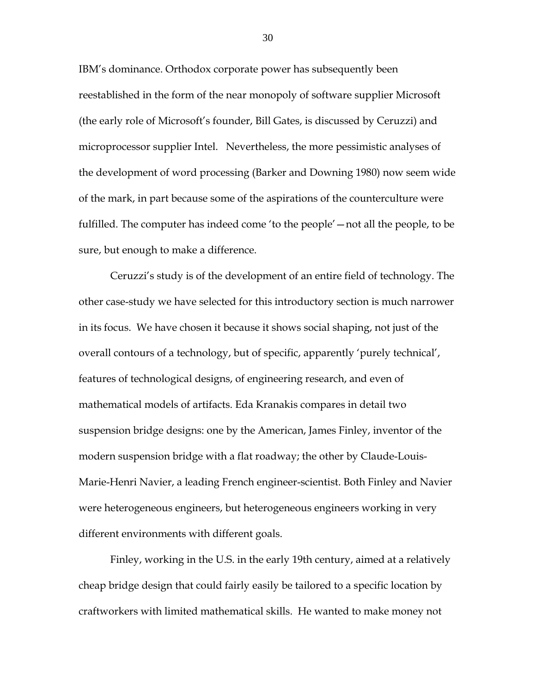IBM's dominance. Orthodox corporate power has subsequently been reestablished in the form of the near monopoly of software supplier Microsoft (the early role of Microsoft's founder, Bill Gates, is discussed by Ceruzzi) and microprocessor supplier Intel. Nevertheless, the more pessimistic analyses of the development of word processing (Barker and Downing 1980) now seem wide of the mark, in part because some of the aspirations of the counterculture were fulfilled. The computer has indeed come 'to the people'—not all the people, to be sure, but enough to make a difference.

Ceruzzi's study is of the development of an entire field of technology. The other case-study we have selected for this introductory section is much narrower in its focus. We have chosen it because it shows social shaping, not just of the overall contours of a technology, but of specific, apparently 'purely technical', features of technological designs, of engineering research, and even of mathematical models of artifacts. Eda Kranakis compares in detail two suspension bridge designs: one by the American, James Finley, inventor of the modern suspension bridge with a flat roadway; the other by Claude-Louis-Marie-Henri Navier, a leading French engineer-scientist. Both Finley and Navier were heterogeneous engineers, but heterogeneous engineers working in very different environments with different goals.

Finley, working in the U.S. in the early 19th century, aimed at a relatively cheap bridge design that could fairly easily be tailored to a specific location by craftworkers with limited mathematical skills. He wanted to make money not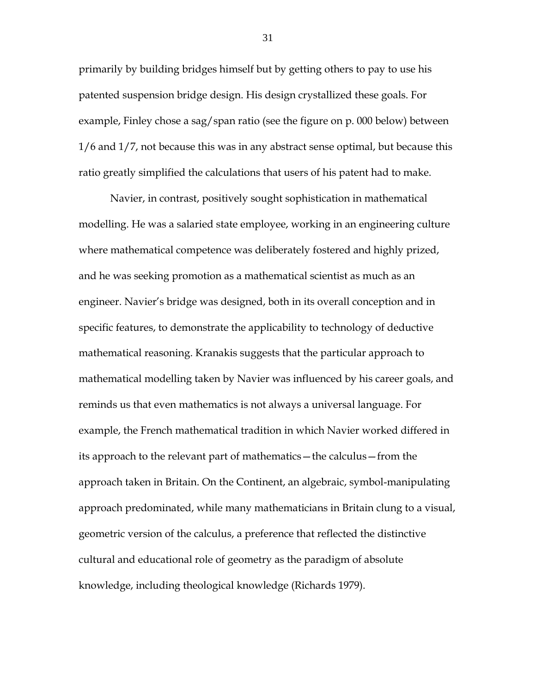primarily by building bridges himself but by getting others to pay to use his patented suspension bridge design. His design crystallized these goals. For example, Finley chose a sag/span ratio (see the figure on p. 000 below) between 1/6 and 1/7, not because this was in any abstract sense optimal, but because this ratio greatly simplified the calculations that users of his patent had to make.

Navier, in contrast, positively sought sophistication in mathematical modelling. He was a salaried state employee, working in an engineering culture where mathematical competence was deliberately fostered and highly prized, and he was seeking promotion as a mathematical scientist as much as an engineer. Navier's bridge was designed, both in its overall conception and in specific features, to demonstrate the applicability to technology of deductive mathematical reasoning. Kranakis suggests that the particular approach to mathematical modelling taken by Navier was influenced by his career goals, and reminds us that even mathematics is not always a universal language. For example, the French mathematical tradition in which Navier worked differed in its approach to the relevant part of mathematics—the calculus—from the approach taken in Britain. On the Continent, an algebraic, symbol-manipulating approach predominated, while many mathematicians in Britain clung to a visual, geometric version of the calculus, a preference that reflected the distinctive cultural and educational role of geometry as the paradigm of absolute knowledge, including theological knowledge (Richards 1979).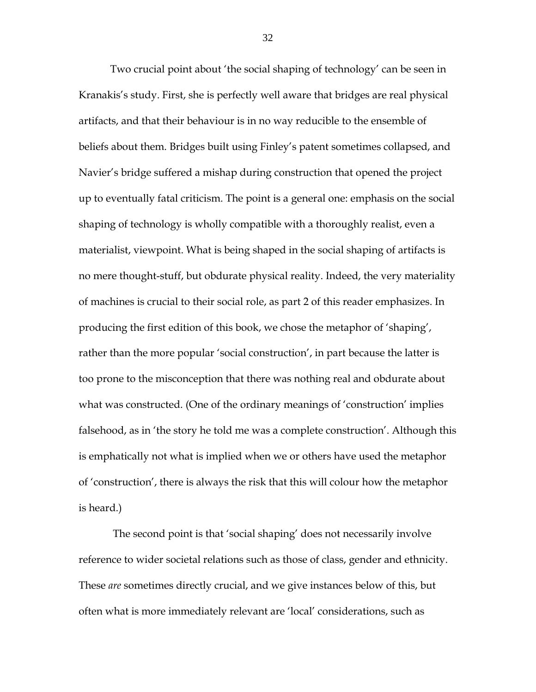Two crucial point about 'the social shaping of technology' can be seen in Kranakis's study. First, she is perfectly well aware that bridges are real physical artifacts, and that their behaviour is in no way reducible to the ensemble of beliefs about them. Bridges built using Finley's patent sometimes collapsed, and Navier's bridge suffered a mishap during construction that opened the project up to eventually fatal criticism. The point is a general one: emphasis on the social shaping of technology is wholly compatible with a thoroughly realist, even a materialist, viewpoint. What is being shaped in the social shaping of artifacts is no mere thought-stuff, but obdurate physical reality. Indeed, the very materiality of machines is crucial to their social role, as part 2 of this reader emphasizes. In producing the first edition of this book, we chose the metaphor of 'shaping', rather than the more popular 'social construction', in part because the latter is too prone to the misconception that there was nothing real and obdurate about what was constructed. (One of the ordinary meanings of 'construction' implies falsehood, as in 'the story he told me was a complete construction'. Although this is emphatically not what is implied when we or others have used the metaphor of 'construction', there is always the risk that this will colour how the metaphor is heard.)

The second point is that 'social shaping' does not necessarily involve reference to wider societal relations such as those of class, gender and ethnicity. These *are* sometimes directly crucial, and we give instances below of this, but often what is more immediately relevant are 'local' considerations, such as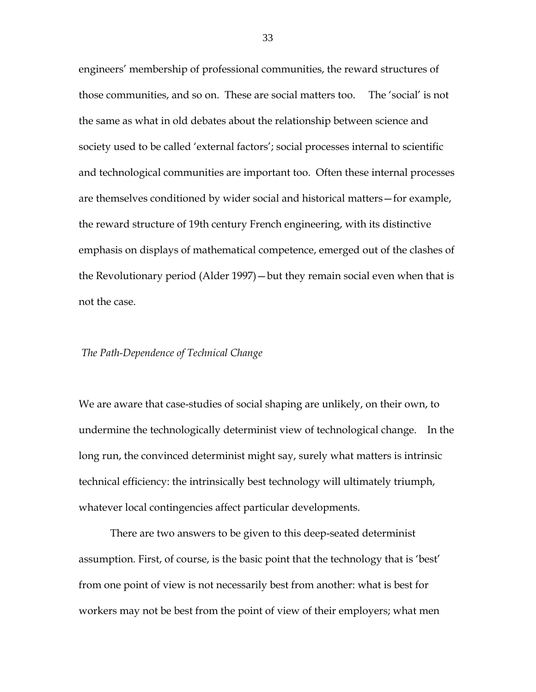engineers' membership of professional communities, the reward structures of those communities, and so on. These are social matters too. The 'social' is not the same as what in old debates about the relationship between science and society used to be called 'external factors'; social processes internal to scientific and technological communities are important too. Often these internal processes are themselves conditioned by wider social and historical matters—for example, the reward structure of 19th century French engineering, with its distinctive emphasis on displays of mathematical competence, emerged out of the clashes of the Revolutionary period (Alder 1997)—but they remain social even when that is not the case.

#### *The Path-Dependence of Technical Change*

We are aware that case-studies of social shaping are unlikely, on their own, to undermine the technologically determinist view of technological change. In the long run, the convinced determinist might say, surely what matters is intrinsic technical efficiency: the intrinsically best technology will ultimately triumph, whatever local contingencies affect particular developments.

There are two answers to be given to this deep-seated determinist assumption. First, of course, is the basic point that the technology that is 'best' from one point of view is not necessarily best from another: what is best for workers may not be best from the point of view of their employers; what men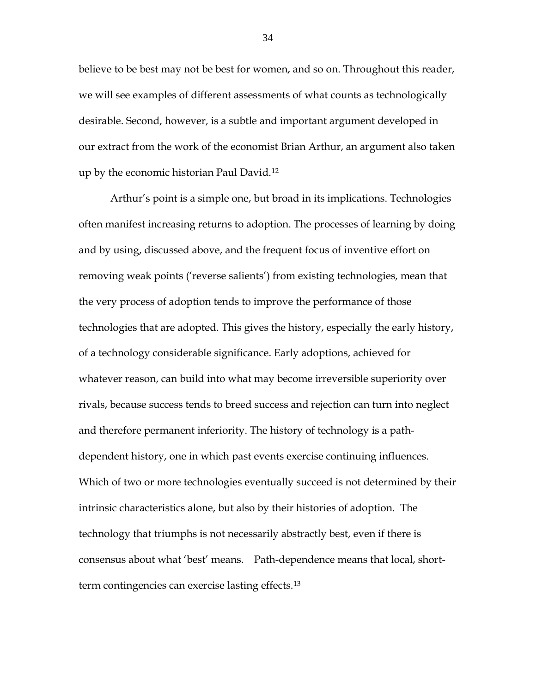believe to be best may not be best for women, and so on. Throughout this reader, we will see examples of different assessments of what counts as technologically desirable. Second, however, is a subtle and important argument developed in our extract from the work of the economist Brian Arthur, an argument also taken up by the economic historian Paul David.[12](#page-49-2)

Arthur's point is a simple one, but broad in its implications. Technologies often manifest increasing returns to adoption. The processes of learning by doing and by using, discussed above, and the frequent focus of inventive effort on removing weak points ('reverse salients') from existing technologies, mean that the very process of adoption tends to improve the performance of those technologies that are adopted. This gives the history, especially the early history, of a technology considerable significance. Early adoptions, achieved for whatever reason, can build into what may become irreversible superiority over rivals, because success tends to breed success and rejection can turn into neglect and therefore permanent inferiority. The history of technology is a pathdependent history, one in which past events exercise continuing influences. Which of two or more technologies eventually succeed is not determined by their intrinsic characteristics alone, but also by their histories of adoption. The technology that triumphs is not necessarily abstractly best, even if there is consensus about what 'best' means. Path-dependence means that local, shortterm contingencies can exercise lasting effects.[13](#page-49-3)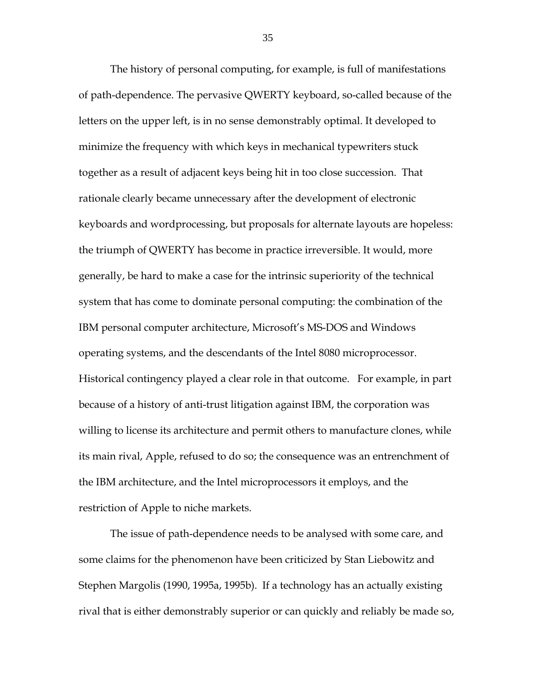The history of personal computing, for example, is full of manifestations of path-dependence. The pervasive QWERTY keyboard, so-called because of the letters on the upper left, is in no sense demonstrably optimal. It developed to minimize the frequency with which keys in mechanical typewriters stuck together as a result of adjacent keys being hit in too close succession. That rationale clearly became unnecessary after the development of electronic keyboards and wordprocessing, but proposals for alternate layouts are hopeless: the triumph of QWERTY has become in practice irreversible. It would, more generally, be hard to make a case for the intrinsic superiority of the technical system that has come to dominate personal computing: the combination of the IBM personal computer architecture, Microsoft's MS-DOS and Windows operating systems, and the descendants of the Intel 8080 microprocessor. Historical contingency played a clear role in that outcome. For example, in part because of a history of anti-trust litigation against IBM, the corporation was willing to license its architecture and permit others to manufacture clones, while its main rival, Apple, refused to do so; the consequence was an entrenchment of the IBM architecture, and the Intel microprocessors it employs, and the restriction of Apple to niche markets.

The issue of path-dependence needs to be analysed with some care, and some claims for the phenomenon have been criticized by Stan Liebowitz and Stephen Margolis (1990, 1995a, 1995b). If a technology has an actually existing rival that is either demonstrably superior or can quickly and reliably be made so,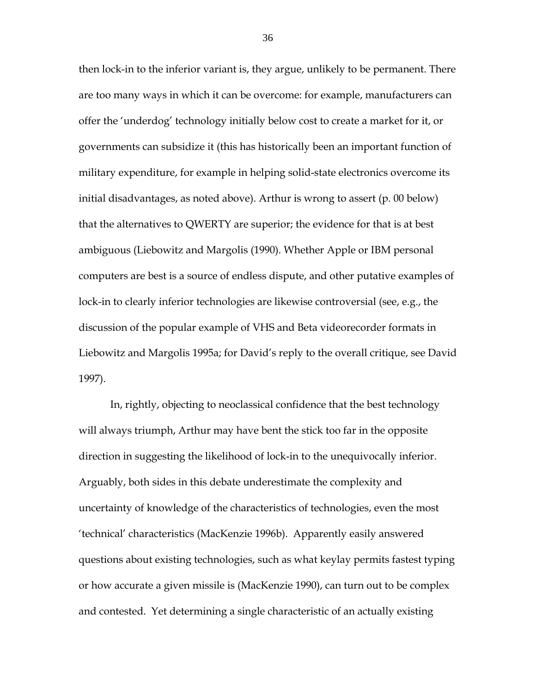then lock-in to the inferior variant is, they argue, unlikely to be permanent. There are too many ways in which it can be overcome: for example, manufacturers can offer the 'underdog' technology initially below cost to create a market for it, or governments can subsidize it (this has historically been an important function of military expenditure, for example in helping solid-state electronics overcome its initial disadvantages, as noted above). Arthur is wrong to assert (p. 00 below) that the alternatives to QWERTY are superior; the evidence for that is at best ambiguous (Liebowitz and Margolis (1990). Whether Apple or IBM personal computers are best is a source of endless dispute, and other putative examples of lock-in to clearly inferior technologies are likewise controversial (see, e.g., the discussion of the popular example of VHS and Beta videorecorder formats in Liebowitz and Margolis 1995a; for David's reply to the overall critique, see David 1997).

In, rightly, objecting to neoclassical confidence that the best technology will always triumph, Arthur may have bent the stick too far in the opposite direction in suggesting the likelihood of lock-in to the unequivocally inferior. Arguably, both sides in this debate underestimate the complexity and uncertainty of knowledge of the characteristics of technologies, even the most 'technical' characteristics (MacKenzie 1996b). Apparently easily answered questions about existing technologies, such as what keylay permits fastest typing or how accurate a given missile is (MacKenzie 1990), can turn out to be complex and contested. Yet determining a single characteristic of an actually existing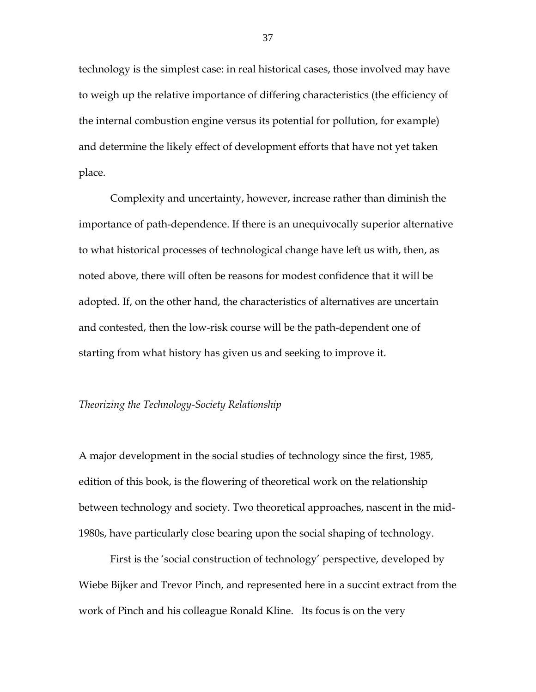technology is the simplest case: in real historical cases, those involved may have to weigh up the relative importance of differing characteristics (the efficiency of the internal combustion engine versus its potential for pollution, for example) and determine the likely effect of development efforts that have not yet taken place.

Complexity and uncertainty, however, increase rather than diminish the importance of path-dependence. If there is an unequivocally superior alternative to what historical processes of technological change have left us with, then, as noted above, there will often be reasons for modest confidence that it will be adopted. If, on the other hand, the characteristics of alternatives are uncertain and contested, then the low-risk course will be the path-dependent one of starting from what history has given us and seeking to improve it.

#### *Theorizing the Technology-Society Relationship*

A major development in the social studies of technology since the first, 1985, edition of this book, is the flowering of theoretical work on the relationship between technology and society. Two theoretical approaches, nascent in the mid-1980s, have particularly close bearing upon the social shaping of technology.

First is the 'social construction of technology' perspective, developed by Wiebe Bijker and Trevor Pinch, and represented here in a succint extract from the work of Pinch and his colleague Ronald Kline. Its focus is on the very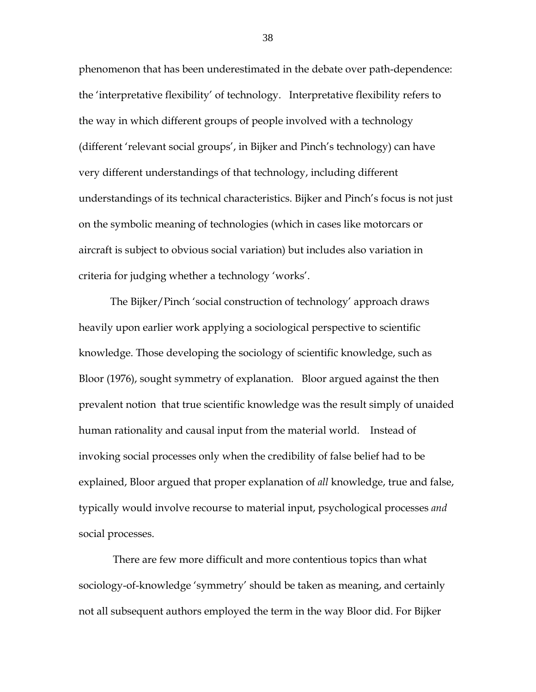phenomenon that has been underestimated in the debate over path-dependence: the 'interpretative flexibility' of technology. Interpretative flexibility refers to the way in which different groups of people involved with a technology (different 'relevant social groups', in Bijker and Pinch's technology) can have very different understandings of that technology, including different understandings of its technical characteristics. Bijker and Pinch's focus is not just on the symbolic meaning of technologies (which in cases like motorcars or aircraft is subject to obvious social variation) but includes also variation in criteria for judging whether a technology 'works'.

The Bijker/Pinch 'social construction of technology' approach draws heavily upon earlier work applying a sociological perspective to scientific knowledge. Those developing the sociology of scientific knowledge, such as Bloor (1976), sought symmetry of explanation. Bloor argued against the then prevalent notion that true scientific knowledge was the result simply of unaided human rationality and causal input from the material world. Instead of invoking social processes only when the credibility of false belief had to be explained, Bloor argued that proper explanation of *all* knowledge, true and false, typically would involve recourse to material input, psychological processes *and* social processes.

There are few more difficult and more contentious topics than what sociology-of-knowledge 'symmetry' should be taken as meaning, and certainly not all subsequent authors employed the term in the way Bloor did. For Bijker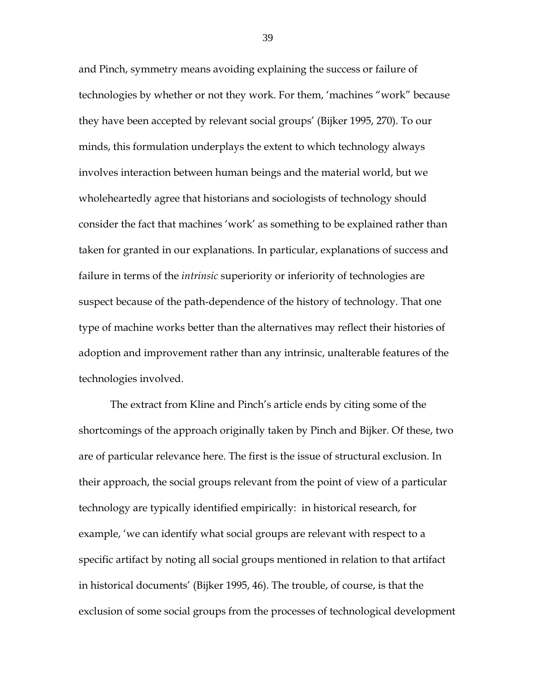and Pinch, symmetry means avoiding explaining the success or failure of technologies by whether or not they work. For them, 'machines "work" because they have been accepted by relevant social groups' (Bijker 1995, 270). To our minds, this formulation underplays the extent to which technology always involves interaction between human beings and the material world, but we wholeheartedly agree that historians and sociologists of technology should consider the fact that machines 'work' as something to be explained rather than taken for granted in our explanations. In particular, explanations of success and failure in terms of the *intrinsic* superiority or inferiority of technologies are suspect because of the path-dependence of the history of technology. That one type of machine works better than the alternatives may reflect their histories of adoption and improvement rather than any intrinsic, unalterable features of the technologies involved.

The extract from Kline and Pinch's article ends by citing some of the shortcomings of the approach originally taken by Pinch and Bijker. Of these, two are of particular relevance here. The first is the issue of structural exclusion. In their approach, the social groups relevant from the point of view of a particular technology are typically identified empirically: in historical research, for example, 'we can identify what social groups are relevant with respect to a specific artifact by noting all social groups mentioned in relation to that artifact in historical documents' (Bijker 1995, 46). The trouble, of course, is that the exclusion of some social groups from the processes of technological development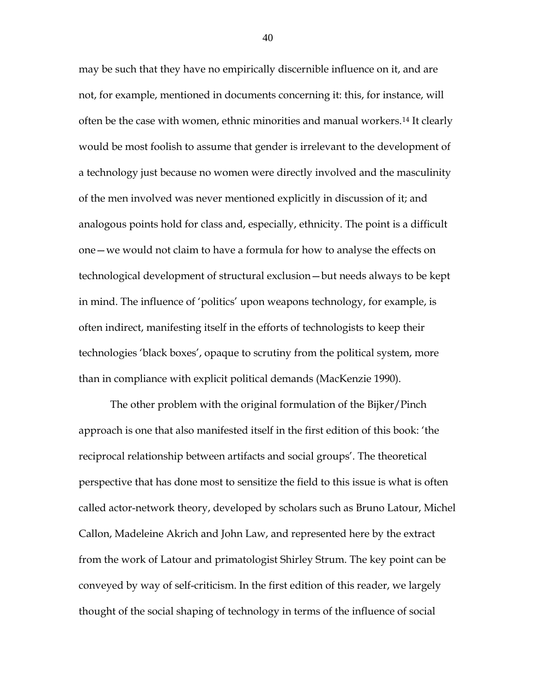may be such that they have no empirically discernible influence on it, and are not, for example, mentioned in documents concerning it: this, for instance, will often be the case with women, ethnic minorities and manual workers.[14](#page-49-4) It clearly would be most foolish to assume that gender is irrelevant to the development of a technology just because no women were directly involved and the masculinity of the men involved was never mentioned explicitly in discussion of it; and analogous points hold for class and, especially, ethnicity. The point is a difficult one—we would not claim to have a formula for how to analyse the effects on technological development of structural exclusion—but needs always to be kept in mind. The influence of 'politics' upon weapons technology, for example, is often indirect, manifesting itself in the efforts of technologists to keep their technologies 'black boxes', opaque to scrutiny from the political system, more than in compliance with explicit political demands (MacKenzie 1990).

The other problem with the original formulation of the Bijker/Pinch approach is one that also manifested itself in the first edition of this book: 'the reciprocal relationship between artifacts and social groups'. The theoretical perspective that has done most to sensitize the field to this issue is what is often called actor-network theory, developed by scholars such as Bruno Latour, Michel Callon, Madeleine Akrich and John Law, and represented here by the extract from the work of Latour and primatologist Shirley Strum. The key point can be conveyed by way of self-criticism. In the first edition of this reader, we largely thought of the social shaping of technology in terms of the influence of social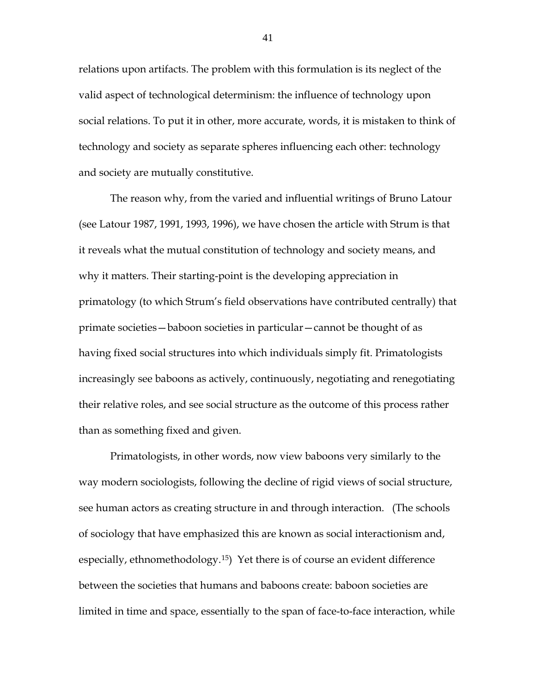relations upon artifacts. The problem with this formulation is its neglect of the valid aspect of technological determinism: the influence of technology upon social relations. To put it in other, more accurate, words, it is mistaken to think of technology and society as separate spheres influencing each other: technology and society are mutually constitutive.

The reason why, from the varied and influential writings of Bruno Latour (see Latour 1987, 1991, 1993, 1996), we have chosen the article with Strum is that it reveals what the mutual constitution of technology and society means, and why it matters. Their starting-point is the developing appreciation in primatology (to which Strum's field observations have contributed centrally) that primate societies—baboon societies in particular—cannot be thought of as having fixed social structures into which individuals simply fit. Primatologists increasingly see baboons as actively, continuously, negotiating and renegotiating their relative roles, and see social structure as the outcome of this process rather than as something fixed and given.

Primatologists, in other words, now view baboons very similarly to the way modern sociologists, following the decline of rigid views of social structure, see human actors as creating structure in and through interaction. (The schools of sociology that have emphasized this are known as social interactionism and, especially, ethnomethodology.[15](#page-49-5)) Yet there is of course an evident difference between the societies that humans and baboons create: baboon societies are limited in time and space, essentially to the span of face-to-face interaction, while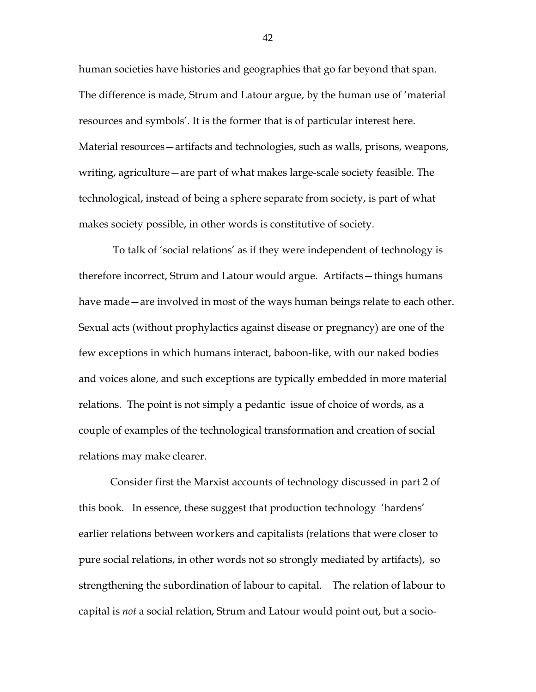human societies have histories and geographies that go far beyond that span. The difference is made, Strum and Latour argue, by the human use of 'material resources and symbols'. It is the former that is of particular interest here. Material resources—artifacts and technologies, such as walls, prisons, weapons, writing, agriculture—are part of what makes large-scale society feasible. The technological, instead of being a sphere separate from society, is part of what makes society possible, in other words is constitutive of society.

To talk of 'social relations' as if they were independent of technology is therefore incorrect, Strum and Latour would argue. Artifacts—things humans have made—are involved in most of the ways human beings relate to each other. Sexual acts (without prophylactics against disease or pregnancy) are one of the few exceptions in which humans interact, baboon-like, with our naked bodies and voices alone, and such exceptions are typically embedded in more material relations. The point is not simply a pedantic issue of choice of words, as a couple of examples of the technological transformation and creation of social relations may make clearer.

Consider first the Marxist accounts of technology discussed in part 2 of this book. In essence, these suggest that production technology 'hardens' earlier relations between workers and capitalists (relations that were closer to pure social relations, in other words not so strongly mediated by artifacts), so strengthening the subordination of labour to capital. The relation of labour to capital is *not* a social relation, Strum and Latour would point out, but a socio-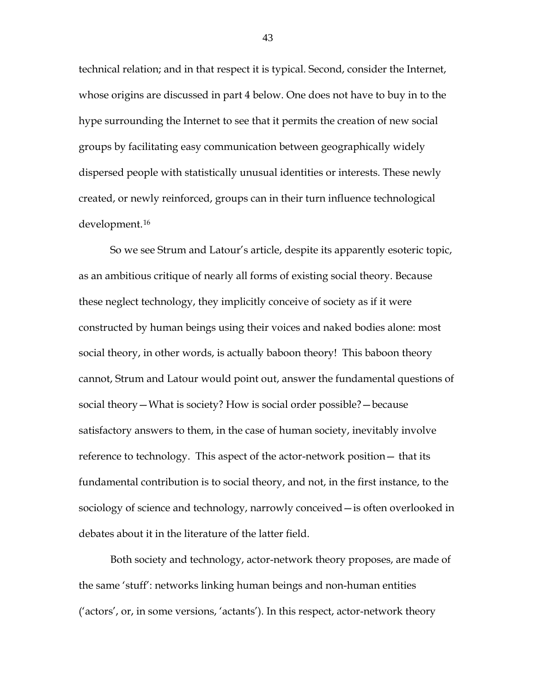technical relation; and in that respect it is typical. Second, consider the Internet, whose origins are discussed in part 4 below. One does not have to buy in to the hype surrounding the Internet to see that it permits the creation of new social groups by facilitating easy communication between geographically widely dispersed people with statistically unusual identities or interests. These newly created, or newly reinforced, groups can in their turn influence technological development.[16](#page-49-6)

So we see Strum and Latour's article, despite its apparently esoteric topic, as an ambitious critique of nearly all forms of existing social theory. Because these neglect technology, they implicitly conceive of society as if it were constructed by human beings using their voices and naked bodies alone: most social theory, in other words, is actually baboon theory! This baboon theory cannot, Strum and Latour would point out, answer the fundamental questions of social theory—What is society? How is social order possible?—because satisfactory answers to them, in the case of human society, inevitably involve reference to technology. This aspect of the actor-network position— that its fundamental contribution is to social theory, and not, in the first instance, to the sociology of science and technology, narrowly conceived—is often overlooked in debates about it in the literature of the latter field.

Both society and technology, actor-network theory proposes, are made of the same 'stuff': networks linking human beings and non-human entities ('actors', or, in some versions, 'actants'). In this respect, actor-network theory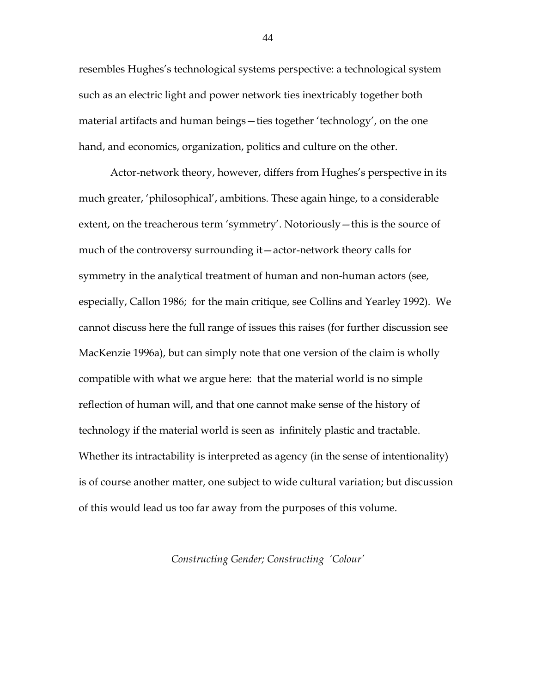resembles Hughes's technological systems perspective: a technological system such as an electric light and power network ties inextricably together both material artifacts and human beings—ties together 'technology', on the one hand, and economics, organization, politics and culture on the other.

Actor-network theory, however, differs from Hughes's perspective in its much greater, 'philosophical', ambitions. These again hinge, to a considerable extent, on the treacherous term 'symmetry'. Notoriously—this is the source of much of the controversy surrounding it—actor-network theory calls for symmetry in the analytical treatment of human and non-human actors (see, especially, Callon 1986; for the main critique, see Collins and Yearley 1992). We cannot discuss here the full range of issues this raises (for further discussion see MacKenzie 1996a), but can simply note that one version of the claim is wholly compatible with what we argue here: that the material world is no simple reflection of human will, and that one cannot make sense of the history of technology if the material world is seen as infinitely plastic and tractable. Whether its intractability is interpreted as agency (in the sense of intentionality) is of course another matter, one subject to wide cultural variation; but discussion of this would lead us too far away from the purposes of this volume.

#### *Constructing Gender; Constructing 'Colour'*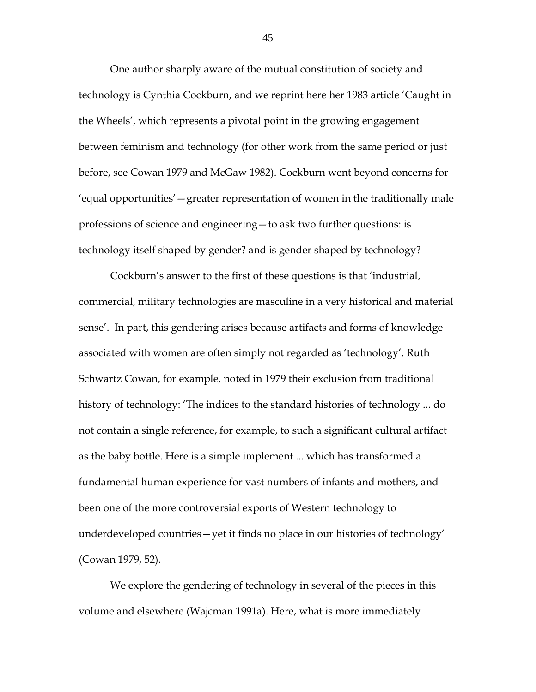One author sharply aware of the mutual constitution of society and technology is Cynthia Cockburn, and we reprint here her 1983 article 'Caught in the Wheels', which represents a pivotal point in the growing engagement between feminism and technology (for other work from the same period or just before, see Cowan 1979 and McGaw 1982). Cockburn went beyond concerns for 'equal opportunities'—greater representation of women in the traditionally male professions of science and engineering—to ask two further questions: is technology itself shaped by gender? and is gender shaped by technology?

Cockburn's answer to the first of these questions is that 'industrial, commercial, military technologies are masculine in a very historical and material sense'. In part, this gendering arises because artifacts and forms of knowledge associated with women are often simply not regarded as 'technology'. Ruth Schwartz Cowan, for example, noted in 1979 their exclusion from traditional history of technology: 'The indices to the standard histories of technology ... do not contain a single reference, for example, to such a significant cultural artifact as the baby bottle. Here is a simple implement ... which has transformed a fundamental human experience for vast numbers of infants and mothers, and been one of the more controversial exports of Western technology to underdeveloped countries—yet it finds no place in our histories of technology' (Cowan 1979, 52).

We explore the gendering of technology in several of the pieces in this volume and elsewhere (Wajcman 1991a). Here, what is more immediately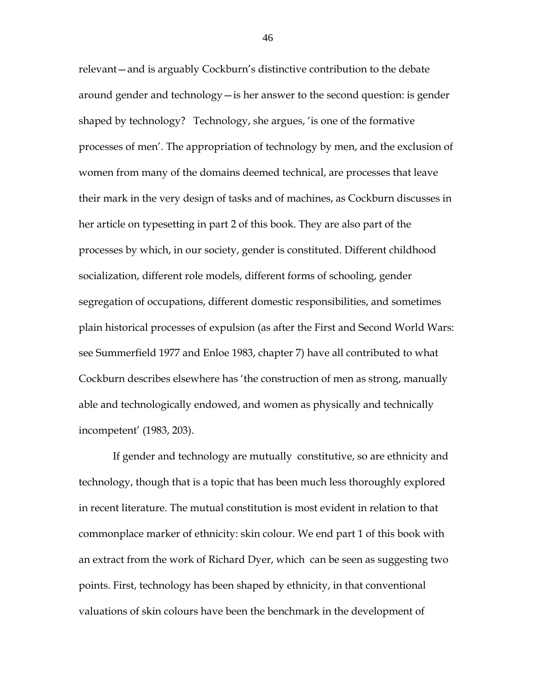relevant—and is arguably Cockburn's distinctive contribution to the debate around gender and technology—is her answer to the second question: is gender shaped by technology? Technology, she argues, 'is one of the formative processes of men'. The appropriation of technology by men, and the exclusion of women from many of the domains deemed technical, are processes that leave their mark in the very design of tasks and of machines, as Cockburn discusses in her article on typesetting in part 2 of this book. They are also part of the processes by which, in our society, gender is constituted. Different childhood socialization, different role models, different forms of schooling, gender segregation of occupations, different domestic responsibilities, and sometimes plain historical processes of expulsion (as after the First and Second World Wars: see Summerfield 1977 and Enloe 1983, chapter 7) have all contributed to what Cockburn describes elsewhere has 'the construction of men as strong, manually able and technologically endowed, and women as physically and technically incompetent' (1983, 203).

If gender and technology are mutually constitutive, so are ethnicity and technology, though that is a topic that has been much less thoroughly explored in recent literature. The mutual constitution is most evident in relation to that commonplace marker of ethnicity: skin colour. We end part 1 of this book with an extract from the work of Richard Dyer, which can be seen as suggesting two points. First, technology has been shaped by ethnicity, in that conventional valuations of skin colours have been the benchmark in the development of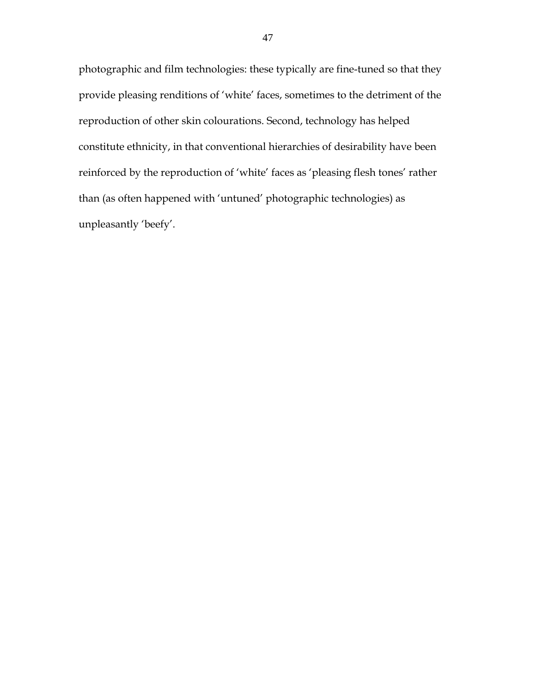photographic and film technologies: these typically are fine-tuned so that they provide pleasing renditions of 'white' faces, sometimes to the detriment of the reproduction of other skin colourations. Second, technology has helped constitute ethnicity, in that conventional hierarchies of desirability have been reinforced by the reproduction of 'white' faces as 'pleasing flesh tones' rather than (as often happened with 'untuned' photographic technologies) as unpleasantly 'beefy'.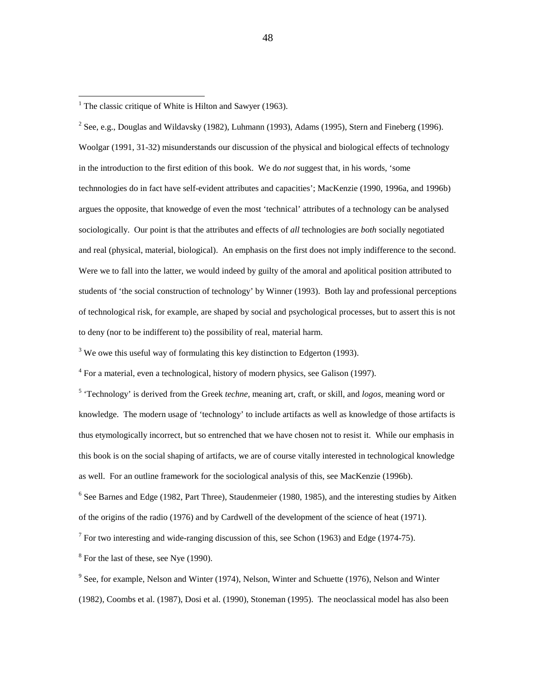<span id="page-48-1"></span><sup>2</sup> See, e.g., Douglas and Wildavsky (1982), Luhmann (1993), Adams (1995), Stern and Fineberg (1996). Woolgar (1991, 31-32) misunderstands our discussion of the physical and biological effects of technology in the introduction to the first edition of this book. We do *not* suggest that, in his words, 'some technnologies do in fact have self-evident attributes and capacities'; MacKenzie (1990, 1996a, and 1996b) argues the opposite, that knowedge of even the most 'technical' attributes of a technology can be analysed sociologically. Our point is that the attributes and effects of *all* technologies are *both* socially negotiated and real (physical, material, biological). An emphasis on the first does not imply indifference to the second. Were we to fall into the latter, we would indeed by guilty of the amoral and apolitical position attributed to students of 'the social construction of technology' by Winner (1993). Both lay and professional perceptions of technological risk, for example, are shaped by social and psychological processes, but to assert this is not to deny (nor to be indifferent to) the possibility of real, material harm.

<span id="page-48-2"></span> $3$  We owe this useful way of formulating this key distinction to Edgerton (1993).

<span id="page-48-3"></span> $4$  For a material, even a technological, history of modern physics, see Galison (1997).

<span id="page-48-4"></span><sup>5</sup> 'Technology' is derived from the Greek *techne*, meaning art, craft, or skill, and *logos*, meaning word or knowledge. The modern usage of 'technology' to include artifacts as well as knowledge of those artifacts is thus etymologically incorrect, but so entrenched that we have chosen not to resist it. While our emphasis in this book is on the social shaping of artifacts, we are of course vitally interested in technological knowledge as well. For an outline framework for the sociological analysis of this, see MacKenzie (1996b).

<span id="page-48-5"></span> $6$  See Barnes and Edge (1982, Part Three), Staudenmeier (1980, 1985), and the interesting studies by Aitken of the origins of the radio (1976) and by Cardwell of the development of the science of heat (1971).

<span id="page-48-6"></span><sup>7</sup> For two interesting and wide-ranging discussion of this, see Schon (1963) and Edge (1974-75).

<span id="page-48-7"></span> $8$  For the last of these, see Nye (1990).

<span id="page-48-8"></span> $9^9$  See, for example, Nelson and Winter (1974), Nelson, Winter and Schuette (1976), Nelson and Winter (1982), Coombs et al. (1987), Dosi et al. (1990), Stoneman (1995). The neoclassical model has also been

<span id="page-48-0"></span><sup>&</sup>lt;sup>1</sup> The classic critique of White is Hilton and Sawyer (1963).